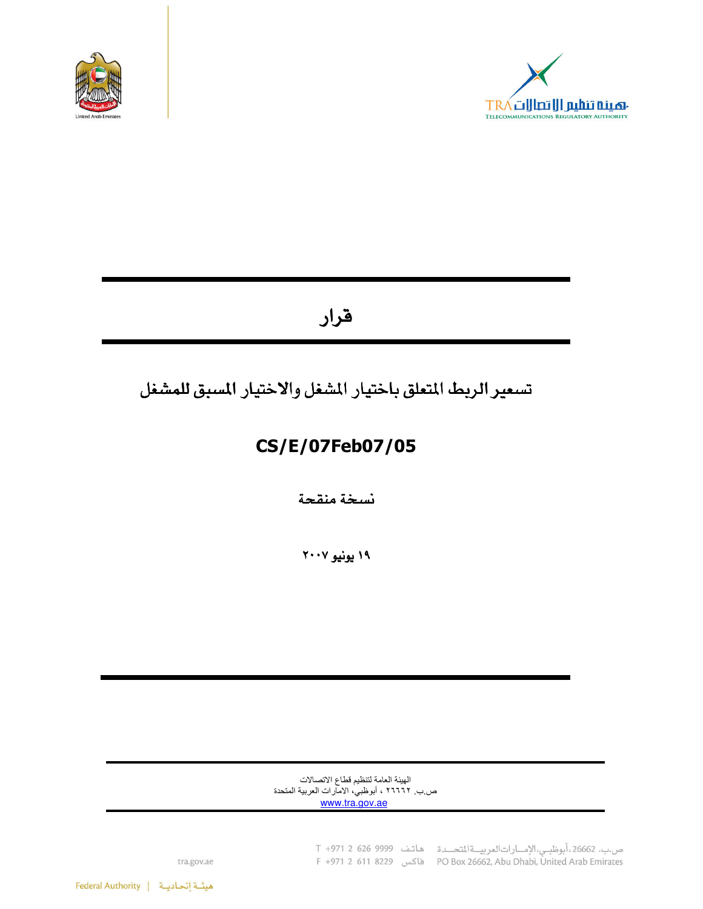



# قرار

# تسعير الريط المتعلق باختيار المشغل والاختيار المسبق للمشغل

# CS/E/07Feb07/05

نسخة منقحة

١٩ يونيو ٢٠٠٧

الهيئة العامة لتنظيم قطاع الاتصالات ص ب ٢٦٦٦٢ ، أبوظبي، الامارات العربية المتحدة www.tra.gov.ae

> ص.ب. 26662، أبوظبي، الإمارات العربية المتحدة هاتف 9999 926 C +971 2 F +971 2 611 8229 (PO Box 26662, Abu Dhabi, United Arab Emirates

tra.gov.ae

هيئة إتحاديـة | Federal Authority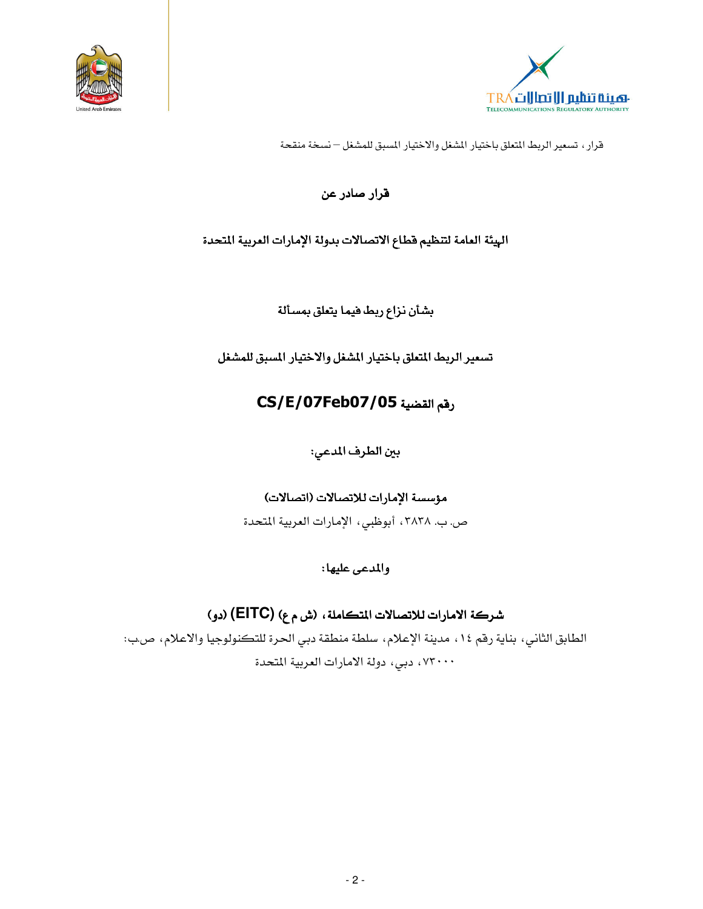



# قرار صادر عن

## الهيئة العامة لتنظيم فطاع الاتصالات بدولة الإمارات العربية المتحدة

بشأن نزاع ربط فيما يتعلق بمسألة

تسعير الربط المتعلق باختيار المشغل والاختيار المسبق للمشغل

# CS/E/07Feb07/05

بين الطرف المدعى:

## مؤسسة الإمارات للاتصالات (اتصالات)

ص. ب. ٣٨٣٨ ، أبوظبي، الإمارات العربية المتحدة

## والمدعى عليها:

# شركة الامارات للاتصالات المتكاملة، (ش م ع) (EITC) (دو)

الطابق الثاني، بناية رقم ١٤، مدينة الإعلام، سلطة منطقة دبي الحرة للتكنولوجيا والاعلام، ص.ب: ٬ ۷۳۰۰۰ دبی، دولة الامارات العربية المتحدة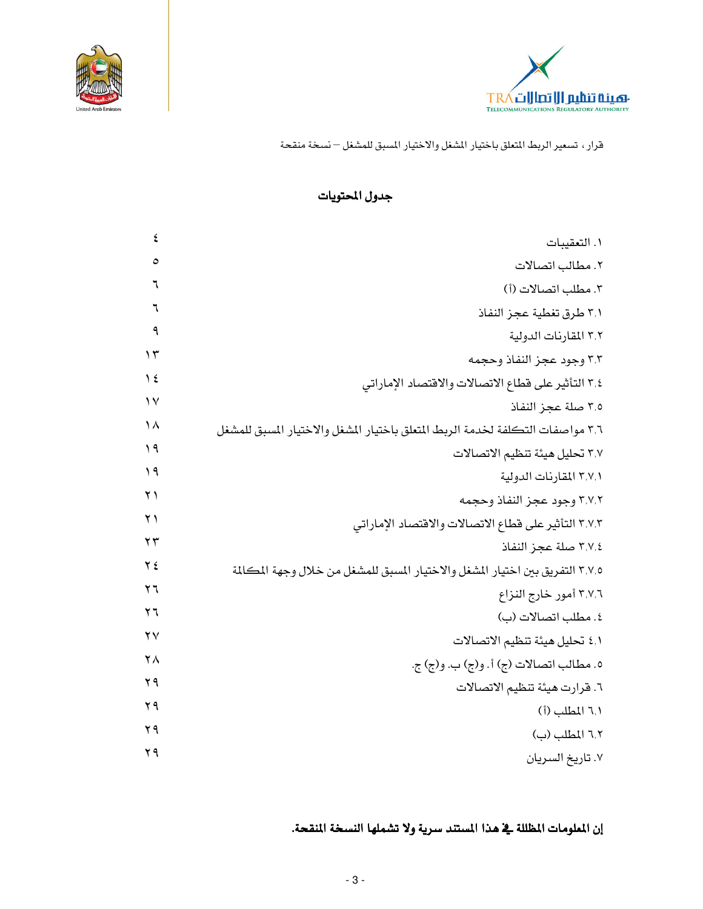



### جدول المحتويات

| ٤                      | ١. التعقيبات                                                                   |
|------------------------|--------------------------------------------------------------------------------|
| ٥                      | ٢. مطالب اتصالات                                                               |
| ٦                      | ٣. مطلب اتصالات (أ)                                                            |
| ٦                      | ٣٫١ طرق تغطية عجز النفاذ                                                       |
| ٩                      | ٣٫٢ المقارنات الدولية                                                          |
| $\gamma$               | ٣٫٣ وجود عجز النفاذ وحجمه                                                      |
| $\frac{1}{2}$          | ٣٫٤ التأثير على قطاع الاتصالات والاقتصاد الإماراتي                             |
| $\vee$                 | ٣٫٥ صلة عجز النفاذ                                                             |
| ١٨                     | ٣٫٦ مواصفات التكلفة لخدمة الربط المتعلق باختيار المشغل والاختيار المسبق للمشغل |
| $\eta$                 | ٣.٧ تحليل هيئة تنظيم الاتصالات                                                 |
| $\eta$                 | ٣,٧,١ المقارنات الدولية                                                        |
| $\lambda$              | ٣,٧,٢ وجود عجز النفاذ وحجمه                                                    |
| $\lambda$              | ٣٫٧٫٣ التأثير على قطاع الاتصالات والاقتصاد الإماراتي                           |
| $\mathbf{y}$           | ٣,٧,٤ صلة عجز النفاذ                                                           |
| $Y \xi$                | ٣,٧,٥ التفريق بين اختيار المشغل والاختيار المسبق للمشغل من خلال وجهة المكالمة  |
| ۲٦                     | ٣,٧,٦ أمور خارج النزاع                                                         |
| $\mathbf{y}$           | ٤. مطلب اتصالات (ب)                                                            |
| $\mathsf{Y}\mathsf{V}$ | ٤٫١ تحليل هيئة تنظيم الاتصالات                                                 |
| ۲۸                     | ٥. مطالب اتصالات (ج) أ. و(ج) ب. و(ج) ج.                                        |
| ۲۹                     | ٦. قرارت هيئة تنظيم الاتصالات                                                  |
| $Y$ ٩                  | ٦٫١ المطلب (أ)                                                                 |
| ۲۹                     | ٦,٢ المطلب (ب)                                                                 |
| ۲۹                     | ٧. تاريخ السريان                                                               |

إن الملومات المظللة في هذا المستند سرية ولا تشملها النسخة المنقحة.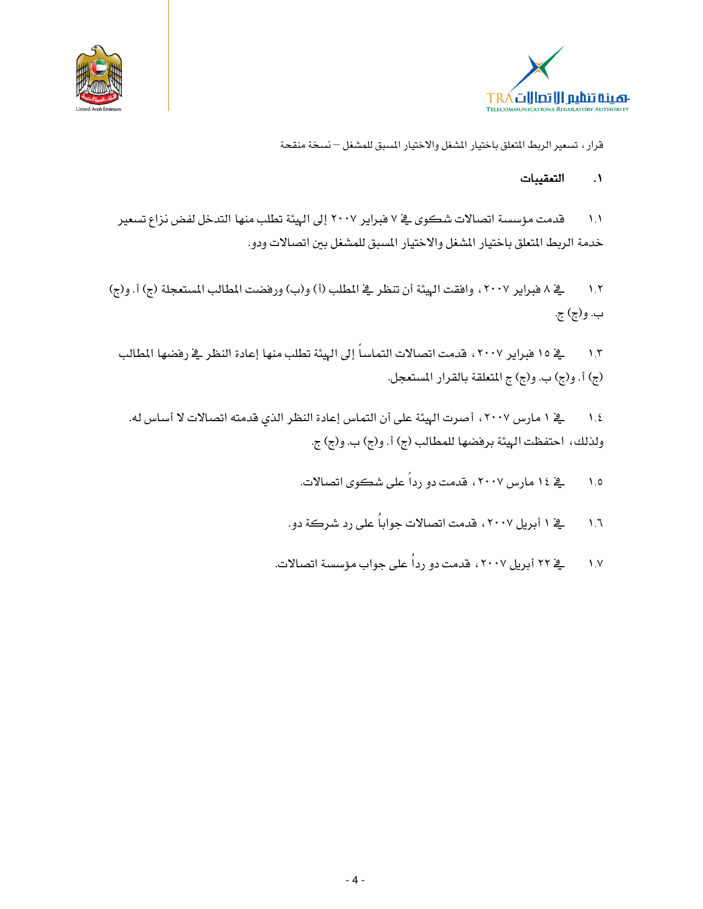



#### التعقيبات  $\overline{\phantom{a}}$

قدمت مؤسسة اتصالات شكوى في ٧ فبراير ٢٠٠٧ إلى الهيئة تطلب منها التدخل لفض نزاع تسعير  $\Lambda$ . خدمة الربط المتعلق باختيار المشغل والاختيار المسبق للمشغل بين اتصالات ودو.

يخ ٨ فبراير ٢٠٠٧ ، وافقت الهيئة أن تنظر يخ المطلب (أ) و(ب) ورفضت المطالب المستعجلة (ج) أ. و(ج)  $\lambda$ ,  $\lambda$ ب. و(ج) ج.

﴾ ١٥ فبراير ٢٠٠٧ ، قدمت اتصالات التماساً إلى الهيئة تطلب منها إعادة النظر ﴾ رفضها المطالب  $\lambda, \overline{\lambda}$ (ج) أ. و(ج) ب. و(ج) ج المتعلقة بالقرار المستعجل.

ية ١ مارس ٢٠٠٧، أصرت الهيئة على أن التماس إعادة النظر الذي قدمته اتصالات لا أساس له.  $\lambda, \xi$ ولذلك، احتفظت الهيئة برفضها للمطالب (ج) أ. و(ج) ب. و(ج) ج.

> <u>ی</u>خ ۱۶ مارس ۲۰۰۷، قدمت دو رداً عل*ی* شکوی اتصالات.  $\Lambda$ .0

- پخ ۱ أبريل ۲۰۰۷ ، قدمت اتصالات جواباً على رد شركة دو.  $\mathcal{N}, \mathcal{N}$
- یے ۲۲ أبريل ۲۰۰۷ ، قدمت دو رداُ علی جواب مؤسسة اتصالات.  $V, V$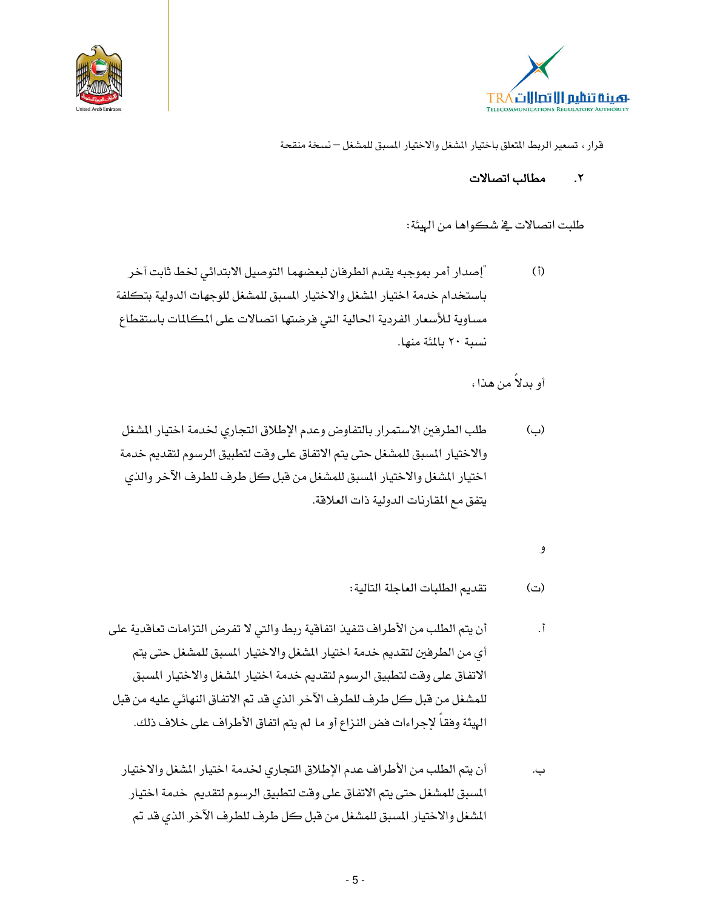



مطالب اتصالات  $\mathbf{r}$ 

طلبت اتصالات في شكواها من الهيئة:

"إصدار أمر بموجبه يقدم الطرفان لبعضهما التوصيل الابتدائي لخط ثابت آخر  $(1)$ باستخدام خدمة اختيار المشغل والاختيار المسبق للمشغل للوجهات الدولية بتكلفة مساوية للأسعار الفردية الحالية التى فرضتها اتصالات على المكالمات باستقطاع نسية ٢٠ بالمئة منها.

أو بدلاً من هذا،

- طلب الطرفين الاستمرار بالتفاوض وعدم الإطلاق التجارى لخدمة اختيار المشغل (ب) والاختيار المسبق للمشغل حتى يتم الاتفاق على وقت لتطبيق الرسوم لتقديم خدمة اختيار المشغل والاختيار المسبق للمشغل من قبل كل طرف للطرف الآخر والذي يتفق مع المقارنات الدولية ذات العلاقة.
	- و

تقديم الطلبات العاجلة التالية: (ت)

- أن يتم الطلب من الأطراف تنفيذ اتفاقية ربط والتي لا تفرض التزامات تعاقدية على أ. أي من الطرفين لتقديم خدمة اختيار المشغل والاختيار المسبق للمشغل حتى يتم الاتفاق على وقت لتطبيق الرسوم لتقديم خدمة اختيار المشغل والاختيار المسبق للمشغل من قبل كل طرف للطرف الآخر الذي قد تم الاتفاق النهائي عليه من قبل الهيئة وفقا لإجراءات فض النزاع أو ما لم يتم اتفاق الأطراف على خلاف ذلك.
	- أن يتم الطلب من الأطراف عدم الإطلاق التجاري لخدمة اختيار المشغل والاختيار ب. المسبق للمشغل حتى يتم الاتفاق على وقت لتطبيق الرسوم لتقديم خدمة اختيار المشغل والاختيار المسبق للمشغل من قبل كل طرف للطرف الآخر الذي قد تم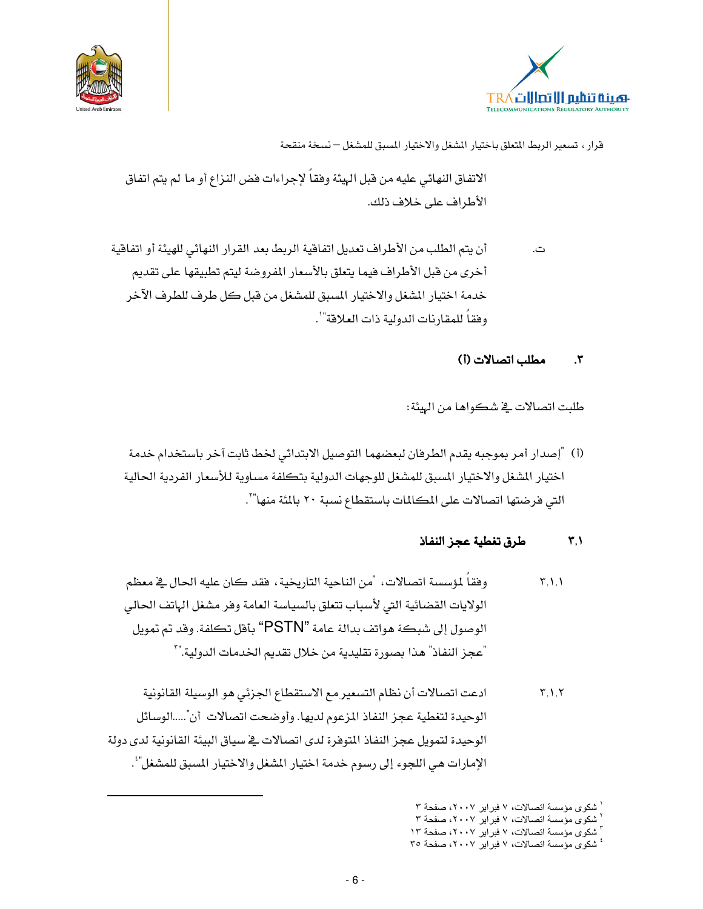



الاتفاق النهائي عليه من قبل الهيئة وفقاً لإجراءات فض النزاع أو ما لم يتم اتفاق الأطراف على خلاف ذلك.

أن يتم الطلب من الأطراف تعديل اتفاقية الربط بعد القرار النهائي للهيئة أو اتفاقية ت. أخرى من قبل الأطراف فيما يتعلق بالأسعار المفروضة ليتم تطبيقها على تقديم خدمة اختيار الشغل والاختيار المسبق للمشغل من قبل كل طرف للطرف الآخر وفقاً للمقارنات الدولية ذات العلاقة"`.

#### مطلب اتصالات (أ)  $\cdot$ ۳

طلبت اتصالات في شكواها من الهيئة:

(أ) "إصدار أمر بموجبه يقدم الطرفان لبعضهما التوصيل الابتدائي لخط ثابت آخر باستخدام خدمة اختيار المشغل والاختيار المسبق للمشغل للوجهات الدولية بتكلفة مساوية للأسعار الفردية الحالية التي فرضتها اتصالات على المكللات باستقطاع نسبة ٢٠ بالمَّة منها"`.

#### طرق تغطية عجز النفاذ  $\mathbf{r},\mathbf{v}$

- وفقاً لمؤسسة اتصالات، "من الناحية التاريخية، فقد كان عليه الحال في معظم  $\mathcal{F}, \mathcal{V}, \mathcal{V}$ الولايات القضائية التي لأسباب تتعلق بالسياسة العامة وفر مشغل الهاتف الحالي الوصول إلى شبكة هواتف بدالة عامة "PSTN" بأقل تكلفة. وقد تم تمويل "عجز النفاذ" هذا بصورة تقليدية من خلال تقديم الخدمات الدولية."`
- ادعت اتصالات أن نظام التسعير مع الاستقطاع الجزئي هو الوسيلة القانونية  $\mathbf{r}$ ,  $\mathbf{v}$ الوحيدة لتغطية عجز النفاذ المزعوم لديها. وأوضحت اتصالات أن".....الوسائل الوحيدة لتمويل عجز النفاذ المتوفرة لدى اتصالات في سياق البيئة القانونية لدى دولة الإمارات هي اللجوءِ إلى رسوم خدمة اختيار المشغل والاختيار المسبق للمشغل"'.

<sup>ً</sup> شكوى مؤسسة اتصالات، ٧ فبراير ٢٠٠٧، صفحة ٣

شكوى مؤسسة اتصالات، ٧ فبراير ٢٠٠٧، صفحة ٣

شكوى مؤسسة اتصالات، ٧ فبراير ٢٠٠٧، صفحة ١٣ ٔ شکوی مؤسسة اتصالات، ۷ فبرایر ۲۰۰۷، صفحة ۳۰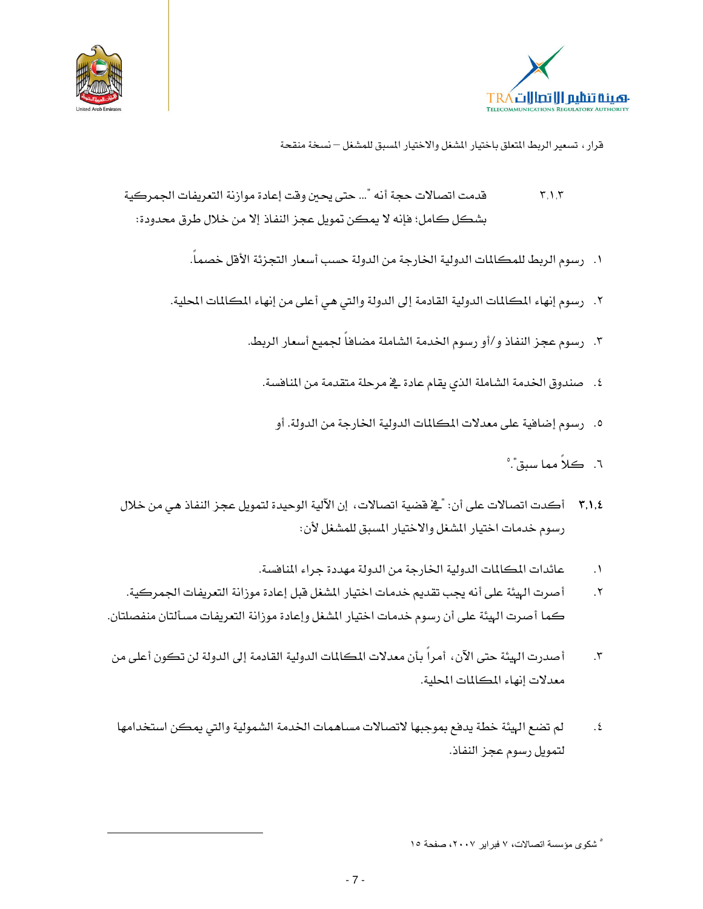



- قدمت اتصالات حجة أنه "... حتى يحين وقت إعادة موازنة التعريفات الجمركية  $\mathbf{r}, \mathbf{v}, \mathbf{r}$ بشكل كامل؛ فإنه لا يمكن تمويل عجز النفاذ إلا من خلال طرق محدودة:
	- ١. رسوم الربط للمكالمات الدولية الخارجة من الدولة حسب أسعار التجزئة الأفل خصماً.
	- ٢. رسوم إنهاء المكالمات الدولية القادمة إلى الدولة والتي هي أعلى من إنهاء المكالمات المحلية.
		- ٣. رسوم عجز النفاذ و/أو رسوم الخدمة الشاملة مضافاً لجميع أسعار الربط.
			- ٤. صندوق الخدمة الشاملة الذي يقام عادة في مرحلة متقدمة من المنافسة.
				- ٥. ﴿ رَسُومَ إِضَافِيةٍ عَلَى مَعْدِلَاتِ الْمَكَالِمَاتِ الدَّوليةِ الْخَارِجَةِ مِنِ الدِّولَةِ. أو
					- ٦. كلاً مما سبق". ْ
- ٣,١,٤ أكدت اتصالات على أن: "في قضية اتصالات، إن الآلية الوحيدة لتمويل عجز النفاذ هي من خلال رسوم خدمات اختيار المشغل والاختيار المسبق للمشغل لأن:
	- عائدات المكالمات الدولية الخارجة من الدولة مهددة جراء المنافسة.  $\cdot$
- أصرت الهيئة على أنه يجب تقديم خدمات اختيار المشغل قبل إعادة موزانة التعريفات الجمركية.  $\cdot^{\mathsf{Y}}$ كما أصرت الهيئة على أن رسوم خدمات اختيار المشغل وإعادة موزانة التعريفات مسألتان منفصلتان.
- أصدرت الهيئة حتى الآن، أمراً بأن معدلات المكالمات الدولية القادمة إلى الدولة لن تكون أعلى من  $\cdot$ معدلات إنهاء المكالمات المحلية.
- لم تضع الهيئة خطة يدفع بموجبها لاتصالات مساهمات الخدمة الشمولية والتي يمكن استخدامها  $.5$ لتمويل رسوم عجز النفاذ.

<sup>°</sup> شكوى مؤسسة اتصالات، ۷ فبر اير ۲۰۰۷، صفحة ۱۰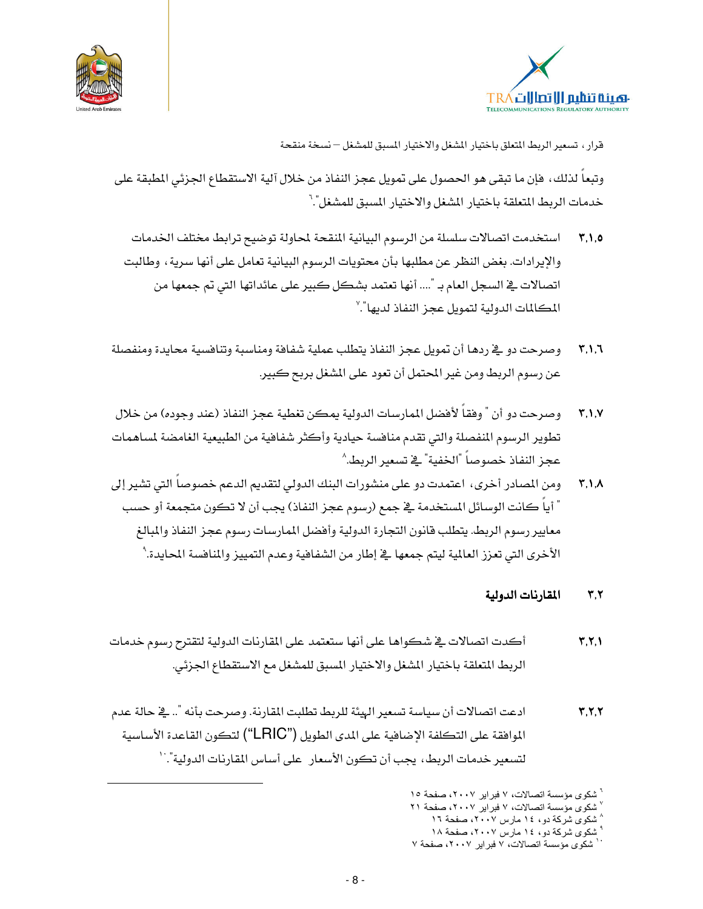



وتبعا لذلك، فإن ما تبقى هو الحصول على تمويل عجز النفاذ من خلال آلية الاستقطاع الجزئي المطبقة على خدمات الربط المتعلقة باختيار المشغل والاختيار المسبق للمشغل".'

- استخدمت اتصالات سلسلة من الرسوم البيانية المنقحة لمحاولة توضيح ترابط مختلف الخدمات  $Y, Y, 0$ والإيرادات. بغض النظر عن مطلبها بأن محتويات الرسوم البيانية تعامل على أنها سرية، وطالبت اتصالات في السجل العام بـ ".... أنها تعتمد بشكل كبير على عائداتها التي تم جمعها من المكالمات الدولية لتمويل عجز النفاذ لديها".``
- وصرحت دو فج ردهـا أن تمويل عجز النفاذ يتطلب عملية شفافة ومناسبة وتنافسية محايدة ومنفصلة  $T.1.7$ عن رسوم الربط ومن غير المحتمل أن تعود على الشغل بربح كبير.
- وصرحت دو أن " وفقاً لأفضل الممارسات الدولية يمكن تغطية عجز النفاذ (عند وجوده) من خلال  $T_{.}$ تطوير الرسوم المفصلة والتي تقدم منافسة حيادية وأكثر شفافية من الطبيعية الغامضة لساهمات عجز النفاذ خصوصاً "الخفية" في تسعير الربط.^
- ومن المصادر أخرى، اعتمدت دو على منشورات البنك الدولي لتقديم الدعم خصوصاً التي تشير إلى  $\mathbf{r}$ ,  $\lambda$ " أياً كانت الوسائل المستخدمة في جمع (رسوم عجز النفاذ) يجب أن لا تكون متجمعة أو حسب معايير رسوم الربط. يتطلب فانون التجارة الدولية وأفضل المارسات رسوم عجز النفاذ والمبالغ الأخرى التي تعزز العالمية ليتم جمعها يخ إطار من الشفافية وعدم التمييز والمنافسة المحايدة. ْ

#### المقارنات الدولية  $Y, Y$

- أكدت اتصالات في شكواها على أنها ستعتمد على المقارنات الدولية لتقترح رسوم خدمات  $Y, Y, Y$ الربط المتعلقة باختيار المشغل والاختيار المسبق للمشغل مع الاستقطاع الجزئي.
- ادعت اتصالات أن سياسة تسعير الهيئة للربط تطلبت المقارنة. وصرحت بأنه ".. في حالة عدم  $Y, Y, Y$ الموافقة على التكلفة الإضافية على المدى الطويل ("LRIC") لتكون القاعدة الأساسية لتسعير خدمات الربط، يجب أن تكون الأسعار على أساس المقاربات الدولية".``

<sup>&</sup>lt;sup>"</sup> شكوى مؤسسة اتصالات، ٧ فبراير ٢٠٠٧، صفحة ١٥

شكوى مؤسسة اتصالات، ٧ فبراير ٢٠٠٧، صفحة ٢١

<sup>^</sup> شکوی شرکة دو، ١٤ مارس ٢٠٠٧، صفحة ١٦

<sup>ٔ</sup> شکوی شرکهٔ دو، ۱٤ مارس ۲۰۰۷، صفحهٔ ۱۸

<sup>``</sup> شكوى مؤسسة اتصالات، ٧ فبراير ٢٠٠٧، صفحة ٧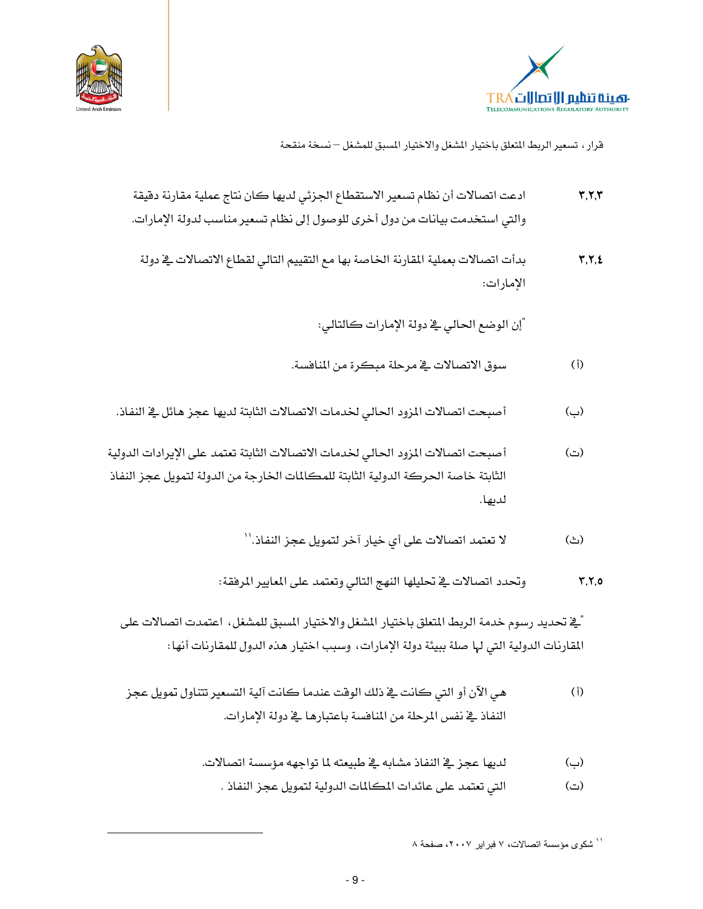



- ادعت اتصالات أن نظام تسعير الاستقطاع الجزئي لديها كان نتاج عملية مقارنة دقيقة  $\mathbf{r}, \mathbf{r}, \mathbf{r}$ والتي استخدمت بيانات من دول أخرى للوصول إلى نظام تسعير مناسب لدولة الإمارات.
	- بدأت اتصالات بعملية المقارنة الخاصة بها مع التقييم التالي لقطاع الاتصالات في دولة  $\Upsilon, \Upsilon, \Sigma$ الإمارات:

"إن الوضع الحالي فے دولة الإمارات كالتالي:

- سوق الاتصالات في مرحلة مبكرة من المنافسة.  $(i)$
- أصبحت اتصالات المزود الحالي لخدمات الاتصالات الثابتة لديها عجز هائل يخ النفاذ. (پ)
- أصبحت اتصالات المزود الحالي لخدمات الاتصالات الثابتة تعتمد على الإيرادات الدولية  $\left(\underline{\neg}\right)$ الثابتة خاصة الحركة الدولية الثابتة للمكالمات الخارجة من الدولة لتمويل عجز النفاذ لدىھا.
	- لا تعتمد اتصالات على أي خيار آخر لتمويل عجز النفاذ.'' (ٹ)
	- وتحدد اتصالات في تحليلها النهج التالي وتعتمد على المعايير المرفقة:  $Y, Y, 0$

َّــِيّ تحديد رسوم خدمة الربط المتعلق باختيار المشغل والاختيار المسبق للمشغل، اعتمدت اتصالات على المقارنات الدولية التي لها صلة ببيئة دولة الإمارات، وسبب اختيار هذه الدول للمقارنات أنها:

- هي الآن أو التي كانت في ذلك الوقت عندما كانت آلية التسعير تتناول تمويل عجز  $(i)$ النفاذ في نفس المرحلة من المنافسة باعتبارها في دولة الإمارات.
	- (ب) لديها عجز \_ النفاذ مشابه \_ ظبيعته لما تواجهه مؤسسة اتصالات.
		- التي تعتمد على عائدات المكالمات الدولية لتمويل عجز النفاذ .  $\left(\underline{\neg}\right)$

`` شكوى مؤسسة اتصالات، ٧ فبراير ٢٠٠٧، صفحة ٨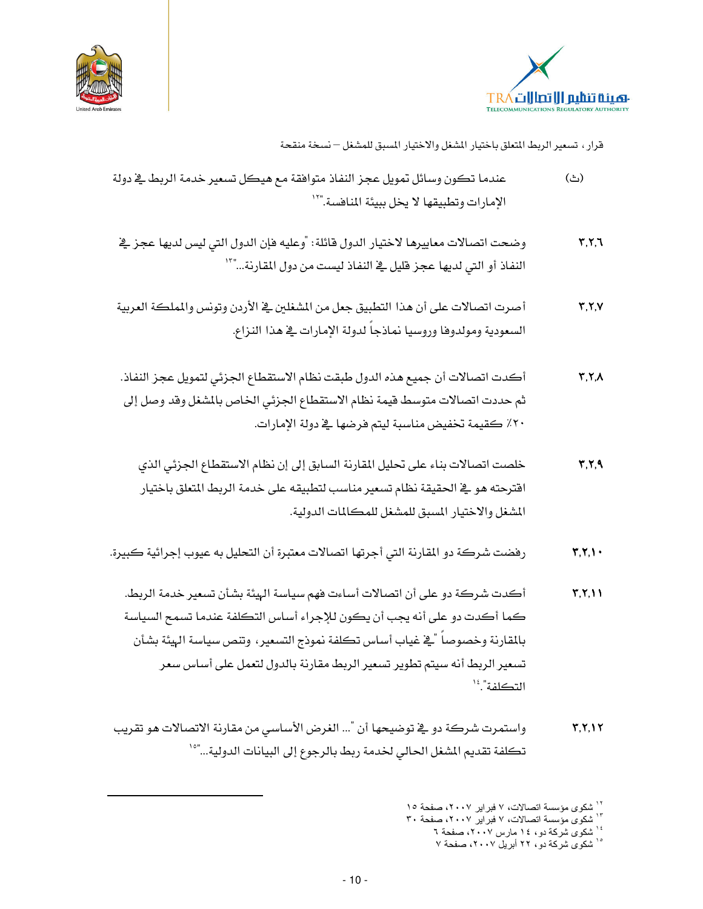



- $(\triangle)$ عندما تكون وسائل تمويل عجز النفاذ متوافقة مع هيكل تسعير خدمة الربط يخ دولة الإمارات وتطبيقها لا يخل ببيئة المنافسة."``
- وضحت اتصالات معاييرها لاختيار الدول فائلة: "وعليه فإن الدول التي ليس لديها عجز في  $Y, Y, Y$ النفاذ أو التي لديها عجز قليل في النفاذ ليست من دول المقارنة..."``
- أصرت اتصالات على أن هذا التطبيق جعل من المشغلين في الأردن وتونس والمملكة العربية  $Y, Y, V$ السعودية ومولدوها وروسيا نماذجا لدولة الامارات فج هذا النزاع.
- أكدت اتصالات أن جميع هذه الدول طبقت نظام الاستقطاع الجزئي لتمويل عجز النفاذ.  $\mathbf{Y}, \mathbf{Y}, \Lambda$ ثم حددت اتصالات متوسط قيمة نظام الاستقطاع الجزئي الخاص بالمشغل وقد وصل إلى ٢٠٪ كقيمة تخفيض مناسبة ليتم فرضها في دولة الامارات.
	- خلصت اتصالات بناء على تحليل المقارنة السابق إلى إن نظام الاستقطاع الجزئي الذي  $Y, Y, 9$ اقترحته هو \_2ْ الحقيقة نظام تسعير مناسب لتطبيقه على خدمة الربط المتعلق باختيار المشغل والاختيار المسبق للمشغل للمكالمات الدولية.
- رفضت شركة دو المقارنة التي أجرتها اتصالات معتبرة أن التحليل به عيوب إجرائية كبيرة.  $Y,Y, Y$ 
	- أكدت شركة دو على أن اتصالات أساءت فهم سياسة الهيئة بشأن تسعير خدمة الربط.  $Y, Y, Y$ كما أكدت دو على أنه يجب أن يكون للإجراء أساس التكلفة عندما تسمح السياسة بالمقارنة وخصوصاً "قخ غياب أساس تكلفة نموذج التسعير، وتنص سياسة الهيئة بشأن تسعير الربط أنه سيتم تطوير تسعير الربط مقارنة بالدول لتعمل على أساس سعر التكلفة".
- واستمرت شركة دو \_ نوضيحها أن "... الغرض الأساسي من مقارنة الاتصالات هو تقريب  $Y,Y,Y$ تكلفة تقديم المشغل الحالي لخدمة ربط بالرجوع إلى البيانات الدولية..."°'

۱٬<br>شکوی مؤسسة اتصالات، ۷ فبرایر ۲۰۰۷، صفحة ۱۰

۱۳ شتری ر<br>۱۳ شکوی مؤسسة اتصالات، ۷ فبرایر ۲۰۰۷، صفحة ۳۰

سمنوی شرکته در عدا مارس ۲۰۰۷، صفحهٔ ۲<br>۱<sup>۶ </sup>شکوی شرکهٔ دو، ۱۶ مارس ۲۰۰۷، صفحهٔ ۲

۱<sup>۰ ش</sup>کوی شرکة دو، ۲۲ أبریل ۲۰۰۷، صفحة ۷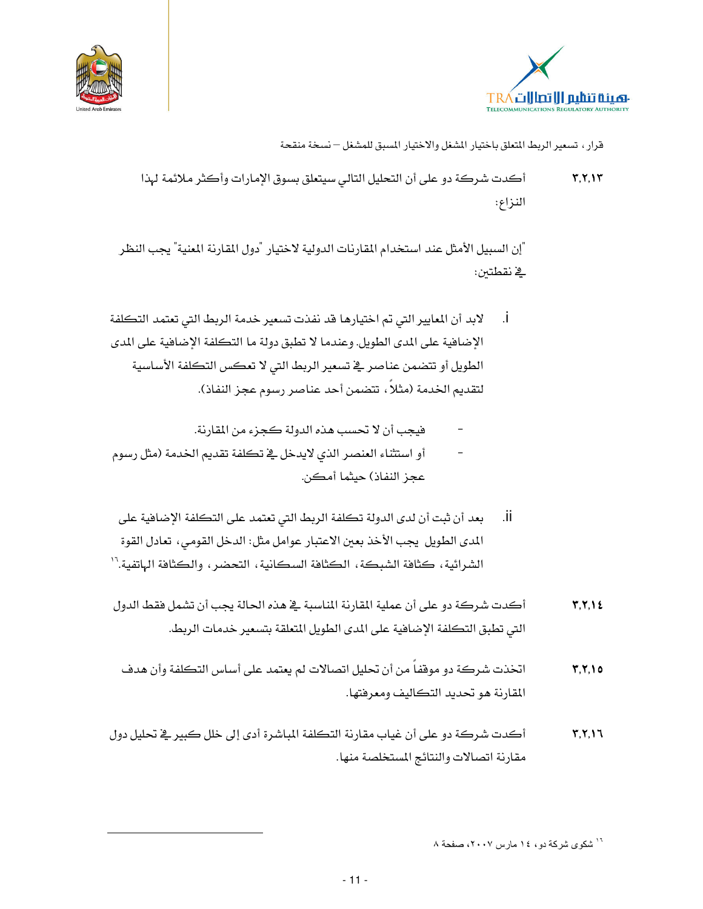



أكدت شركة دو على أن التحليل التالي سيتعلق بسوق الإمارات وأكثر ملائمة لهذا  $Y, Y, Y$ النزاع:

"إن السبيل الأمثل عند استخدام المقارنات الدولية لاختيار "دول المقارنة المنية" يجب النظر في نقطتين:

- لابد أن المعايير التي تم اختيارها قد نفذت تسعير خدمة الربط التي تعتمد التكلفة  $\overline{1}$ الإضافية على المدى الطويل. وعندما لا تطبق دولة ما التكلفة الإضافية على المدى الطويل أو تتضمن عناصر في تسعير الربط التي لا تعكس التكلفة الأساسية لتقديم الخدمة (مثلاً ، تتضمن أحد عناصر رسوم عجز النفاذ).
	- فيجب أن لا تحسب هذه الدولة كجزء من المقارنة.
- أو استثناء العنصر الذي لايدخل في تكلفة تقديم الخدمة (مثل رسوم عجز النفاذ) حيثما أمكن.
- بعد أن ثبت أن لدى الدولة تكلفة الربط التي تعتمد على التكلفة الإضافية على ٠ii. المدى الطويل يجب الأخذ بعين الاعتبار عوامل مثل: الدخل القومي، تعادل القوة الشرائية، كثافة الشبكة، الكثافة السكانية، التحضر، والكثافة الهاتفية.''
- أكدت شركة دو على أن عملية المقارنة المناسبة في هذه الحالة يجب أن تشمل فقط الدول  $Y, Y, Y$ التي تطبق التكلفة الإضافية على المدى الطويل المتعلقة بتسعير خدمات الربط.
- اتخذت شركة دو موقفاً من أن تحليل اتصالات لم يعتمد على أساس التكلفة وأن هدف  $Y, Y, 10$ المقارنة هو تحديد التكاليف ومعرفتها.
- أكدت شركة دو على أن غياب مقارنة التكلفة المباشرة أدى إلى خلل كبير في تحليل دول  $Y, Y, Y$ مقارنة اتصالات والنتائج المستخلصة منها.

<sup>&</sup>lt;sup>۱٦</sup> شکوي شرکة دو، ١٤ مارس ٢٠٠٧، صفحة ٨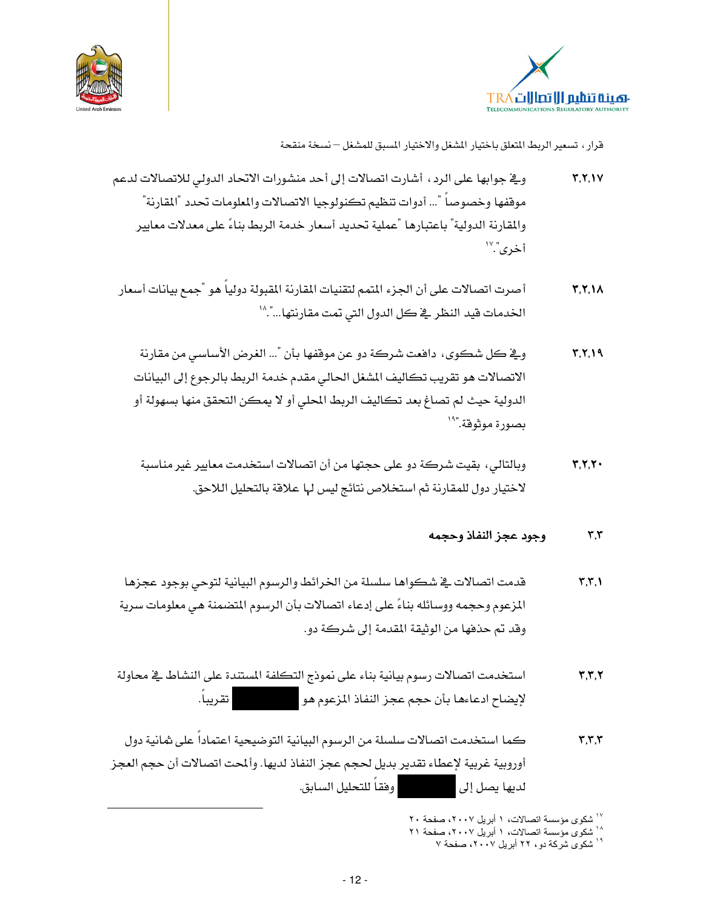



- وفج جوابها على الرد ، أشارت اتصالات إلى أحد منشورات الاتحاد الدولي للاتصالات لدعم  $Y, Y, V$ موقفها وخصوصا "... أدوات تنظيم تكنولوجيا الاتصالات والملومات تحدد "المقارنة" والمقارنة الدولية" باعتبارها "عملية تحديد أسعار خدمة الربط بناءً على معدلات معايير أخرى".<sup>'''</sup>
- أصرت اتصالات على أن الجزء المتمم لتقنيات المقارنة المقبولة دولياً هو "جمع بيانات أسعار  $Y, Y, Y$ الخدمات فيد النظر في كل الدول التي تمت مقارنتها...".^'
	- وِيٍّ كل شكوى، دافعت شركة دو عن موقفها بأن "... الغرض الأساسي من مقارنة  $Y, Y, Y$ الاتصالات هو تقريب تكاليف المشغل الحالي مقدم خدمة الربط بالرجوع إلى البيانات الدولية حيث لم تصاغ بعد تكاليف الربط المحلي أو لا يمكن التحقق منها بسهولة أو بصورة موثوقة."``
	- وبالتالي، بقيت شركة دو على حجتها من أن اتصالات استخدمت معايير غير مناسبة  $Y, Y, Y$ لاختيار دول للمقارنة ثم استخلاص نتائج ليس لها علاقة بالتحليل اللاحق.

#### وجود عجز النفاذ وحجمه  $\mathbf{r}$ , $\mathbf{r}$

- قدمت اتصالات في شكواها سلسلة من الخرائط والرسوم البيانية لتوحي بوجود عجزها  $\mathbf{Y}, \mathbf{Y}, \mathbf{V}$ المزعوم وحجمه ووسائله بناءً على إدعاء اتصالات بأن الرسوم المتضمنة هي معلومات سرية وقد تم حذفها من الوثيقة المقدمة إلى شركة دو.
- استخدمت اتصالات رسوم بيانية بناء على نموذج التكلفة المستندة على النشاط في محاولة  $Y,Y,Y$ لإيضاح ادعاءها بأن حجم عجز النفاذ المزعوم هو من المسموط.<br>-
- كما استخدمت اتصالات سلسلة من الرسوم البيانية التوضيحية اعتماداً على شانية دول  $\mathbf{r}, \mathbf{r}, \mathbf{r}$ أوروبية غربية لإعطاء تقدير بديل لحجم عجز النفاذ لديها. وألمحت اتصالات أن حجم العجز | وفقـاً للتحليل السـابق. لديها يصل إلى

``` شكوى مؤسسة اتصالات، ١ أبريل ٢٠٠٧، صفحة ٢٠

..<br><sup>۱۸</sup> شکوی مؤسسة اتصالات، ۱ ابریل ۲۰۰۷، صفحة ۲۱

<sup>١٩</sup> شكوى شركة دو، ٢٢ أبريل ٢٠٠٧، صفحة ٧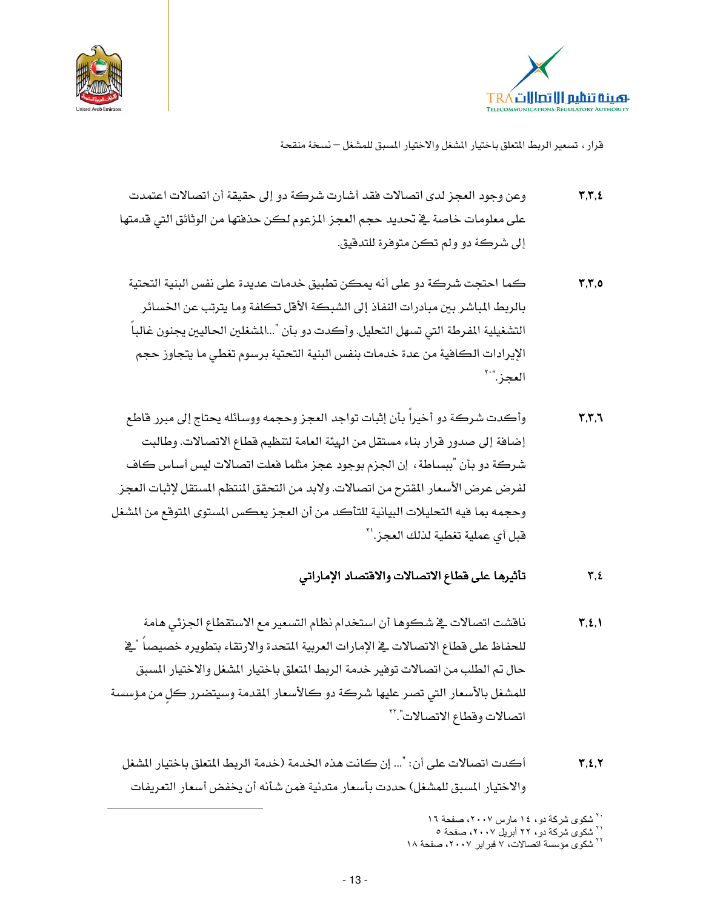



- وعن وجود العجز لدى اتصالات فقد أشارت شركة دو إلى حقيقة أن اتصالات اعتمدت  $\mathbf{Y}, \mathbf{Y}, \mathbf{E}$ على معلومات خاصة في تحديد حجم العجز المزعوم لكن حذفتها من الوثائق التي قدمتها إلى شركة دو ولم تكن متوفرة للتدقيق.
- كما احتجت شركة دو على أنه يمكن تطبيق خدمات عديدة على نفس البنية التحتية  $Y,Y,0$ بالربط الباشر بين مبادرات النفاذ إلى الشبكة الأفل تكلفة وما يترتب عن الخسائر التشغيلية المفرطة التي تسهل التحليل. وأكدت دو بأن "...الشغلين الحاليين يجنون غالباً الإيرادات الكافية من عدة خدمات بنفس البنية التحتية برسوم تغطي ما يتجاوز حجم العجز النك
- وأكدت شركة دو أخيراً بأن إثبات تواجد العجز وحجمه ووسائله يحتاج إلى مبرر قاطع  $\mathbf{y}, \mathbf{y}, \mathbf{y}$ إضافة إلى صدور قرار بناء مستقل من الهيئة العامة لتنظيم قطاع الاتصالات. وطالبت شركة دو بأن "ببساطة، إن الجزم بوجود عجز مثلما فعلت اتصالات ليس أساس كاف لفرض عرض الأسعار المقترح من اتصالات. ولابد من التحقق المنتظم المستقل لإثبات العجز وحجمه بما فيه التحليلات البيانية للتأكد من أن العجز يعكس المستوى المتوقع من الشغل قبل أي عملية تغطية لذلك العجز.'<sup>٢</sup>

#### تأثيرها على فطاع الاتصالات والافتصاد الإماراتى  $\mathbf{r},\mathbf{t}$

- ناقشت اتصالات في شكوها أن استخدام نظام التسعير مع الاستقطاع الجزئى هامة  $\Upsilon, \Sigma, \Upsilon$ للحفاظ على فطاع الاتصالات في الإمارات العربية المتحدة والارتقاء بتطويره خصيصاً "في حال تم الطلب من اتصالات توفير خدمة الربط المتعلق باختيار الشغل والاختيار المسبق للمشغل بالأسعار التي تصر عليها شركة دو كالأسعار المقدمة وسيتضرر كل من مؤسسة اتصالات وقطاع الاتصالات"."
	- أكدت اتصالات على أن: "... إن كانت هذه الخدمة (خدمة الربط المتعلق باختيار المشغل  $Y, Z, Y$ والاختيار المسبق للمشغل) حددت بأسعار متدنية فمن شأنه أن يخفض أسعار التعريفات

<sup>۲۰</sup> شکوی شرکهٔ دو، ۱۶ مارس ۲۰۰۷، صفحهٔ ۱۲

<sup>ٔ</sup> شکوی شرکة دو، ۲۲ أبریل ۲۰۰۷، صفحة ۰

<sup>&</sup>lt;sup>۲۲</sup> شکوی مؤسسة اتصالات، ۷ فبرایر ۲۰۰۷، صفحة ۱۸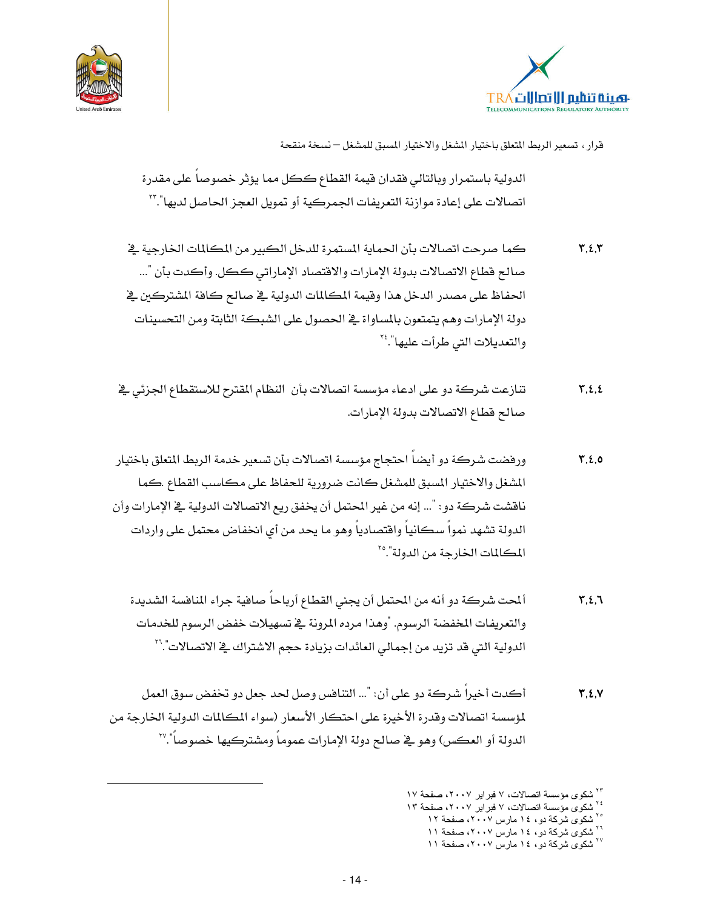



الدولية باستمرار وبالتالي فقدان قيمة القطاع ككل مما يؤثر خصوصا على مقدرة اتصالات على إعادة موازنة التعريفات الجمركية أو تمويل العجز الحاصل لديها".''

- كما صرحت اتصالات بأن الحماية المستمرة للدخل الكبير من المكالمات الخارجية في  $Y, Z, Y$ صالح فطاع الاتصالات بدولة الإمارات والافتصاد الإماراتي ككل. وأكدت بأن "... الحفاظ على مصدر الدخل هذا وقيمة المكالمات الدولية في صالح كافة المشتركين في دولة الإمارات وهم يتمتعون بالمساواة يخ الحصول على الشبكة الثابتة ومن التحسينات والتعديلات التي طرأت عليها".
- تنازعت شركة دو على ادعاء مؤسسة اتصالات بأن النظام المقترح للاستقطاع الجزئي في  $\mathbf{Y}, \mathbf{2}, \mathbf{2}$ صالح قطاع الاتصالات بدولة الإمارات.
- ورفضت شركة دو أيضاً احتجاج مؤسسة اتصالات بأن تسعير خدمة الربط المتعلق باختيار  $\mathbf{Y}, \mathbf{2}, \mathbf{0}$ الشغل والاختيار المسبق للمشغل كانت ضرورية للحفاظ على مكاسب القطاع .كما ناقشت شركة دو : "... إنه من غير المحتمل أن يخفق ريع الاتصالات الدولية في الإمارات وأن الدولة تشهد نمواً سكانياً وافتصادياً وهو ما يحد من أي انخفاض محتمل على واردات المكالمات الخارجة من الدولة".°'
	- ألمحت شركة دو أنه من المحتمل أن يجنى القطاع أرباحاً صافية جراء المافسة الشديدة  $\mathbf{r}, \mathbf{t}, \mathbf{t}$ والتعريفات المخفضة الرسوم. "وهذا مرده المرونة في تسهيلات خفض الرسوم للخدمات الدولية التي قد تزيد من إجمالي العائدات بزيادة حجم الاشتراك في الاتصالات".''
- أكدت أخيرا شركة دو على أن: "... التنافس وصل لحد جعل دو تخفض سوق العمل  $Y, Z, V$ لمؤسسة اتصالات وقدرة الأخيرة على احتكار الأسعار (سواء المكالمات الدولية الخارجة من الدولة أو العكس) وهو \_فـ صالح دولة الإمارات عموماً ومشتركيها خصوصاً".'``

- ٬۲۶<br>۲۶ شکوی مؤسسة اتصالات، ۷ فبرایر ۲۰۰۷، صفحة ۱۳
	- <sup>۲۰</sup> شکوی شرکهٔ دو، ۱۶ مارس ۲۰۰۷، صفحهٔ ۱۲
		- سسوی شر– -ر<br>۲۰ شکوی شرکهٔ دو، ۱۶ مارس ۲۰۰۷، صفحهٔ ۱۱ <sup>۲۷</sup> شکوی شرکة دو، ۱٤ مارس ۲۰۰۷، صفحة ۱۱

<sup>&</sup>lt;sup>۲۲</sup> شکوی مؤسسة اتصالات، ۷ فبر ایر ۲۰۰۷، صفحة ۱۷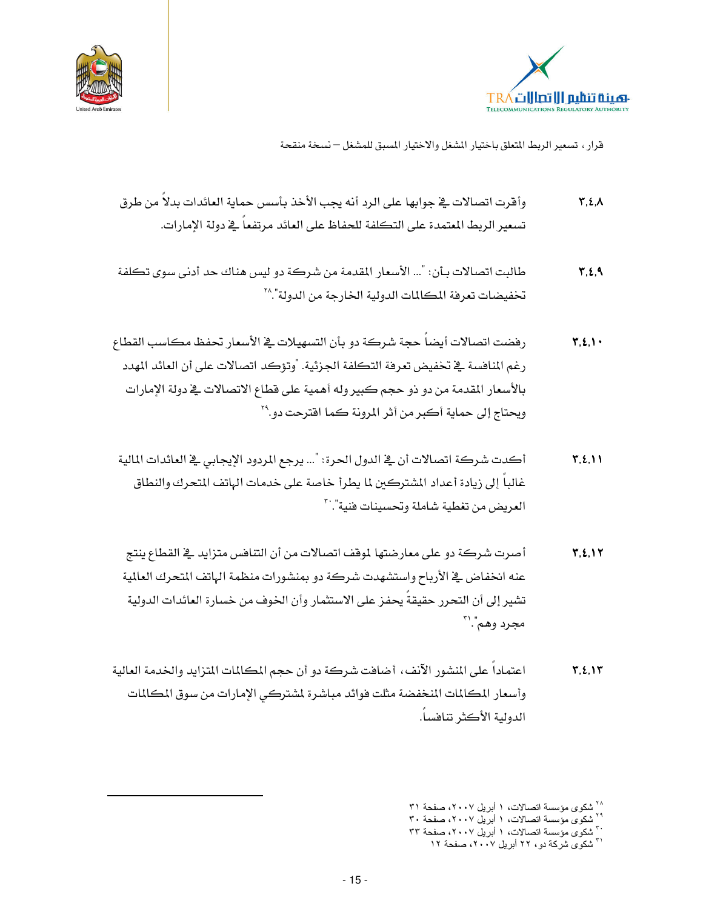



- وأقرت اتصالات في جوابها على الرد أنه يجب الأخذ بأسس حماية العائدات بدلا من طرق  $\mathbf{Y}, \mathbf{2}, \mathbf{\Lambda}$ تسعير الربط المتمدة على التكلفة للحفاظ على العائد مرتفعاً في دولة الإمارات.
- طالبت اتصالات بـأن: "... الأسعار المقدمة من شركة دو ليس هناك حد أدنى سوى تكلفة  $\mathbf{r}, \mathbf{t}, \mathbf{A}$ تخفيضات تعرفة المكالمات الدولية الخارجة من الدولة".^`
- رفضت اتصالات أيضاً حجة شركة دو بأن التسهيلات في الأسعار تحفظ مكاسب القطاع  $\Upsilon, \Sigma, \Upsilon$ رغم المنافسة ﴾ تخفيض تعرفة التكلفة الجزئية. "وتؤكد اتصالات على أن العائد المهدد بالأسعار المقدمة من دو ذو حجم كبير وله أهمية على قطاع الاتصالات في دولة الإمارات ويحتاج إلى حماية أكبر من أثر المرونة كما افترحت دو.``
- أكدت شركة اتصالات أن في الدول الحرة: "... يرجع المردود الإيجابي في العائدات المالية  $\Upsilon, \Sigma, \Upsilon$ غالباً إلى زيادة أعداد الشتركين لما يطرأ خاصة على خدمات الهاتف المتحرك والنطاق العريض من تغطية شاملة وتحسينات فنية".``
- أصرت شركة دو على معارضتها لموقف اتصالات من أن التنافس متزايد في القطاع ينتج  $Y, 2, 1Y$ عنه انخفاض يۓ الأرباح واستشهدت شركة دو بمنشورات منظمة الهاتف المتحرك العالمية تشير إلى أن التحرر حقيقةً يحفز على الاستثمار وأن الخوف من خسارة العائدات الدولية محرد وهم".'"
- اعتماداً على المنشور الآنف، أضافت شركة دو أن حجم المكالمات المتزايد والخدمة العالية  $\mathbf{Y}, \mathbf{2}, \mathbf{1}\mathbf{Y}$ وأسعار المكالمات المنخفضة مثلت فوائد مباشرة لمشتركي الإمارات من سوق المكالمات الدولية الأكثر تنافساً.

<sup>&</sup>lt;sup>۲۸</sup> شکوی مؤسسة اتصالات، ۱ أبريل ۲۰۰۷، صفحة ۳۱

۲۹ شکوی مؤسسة اتصالات، ۱ أبریل ۲۰۰۷، صفحة ۳۰

ستوی سوسست —---<br>۲۰ شکوی مؤسسة اتصالات، ۱ ابریل ۲۰۰۷، صفحة ۳۳ <sup>ا۳</sup> شکوی شرکهٔ دو، ۲۲ ابریل ۲۰۰۷، صفحهٔ ۱۲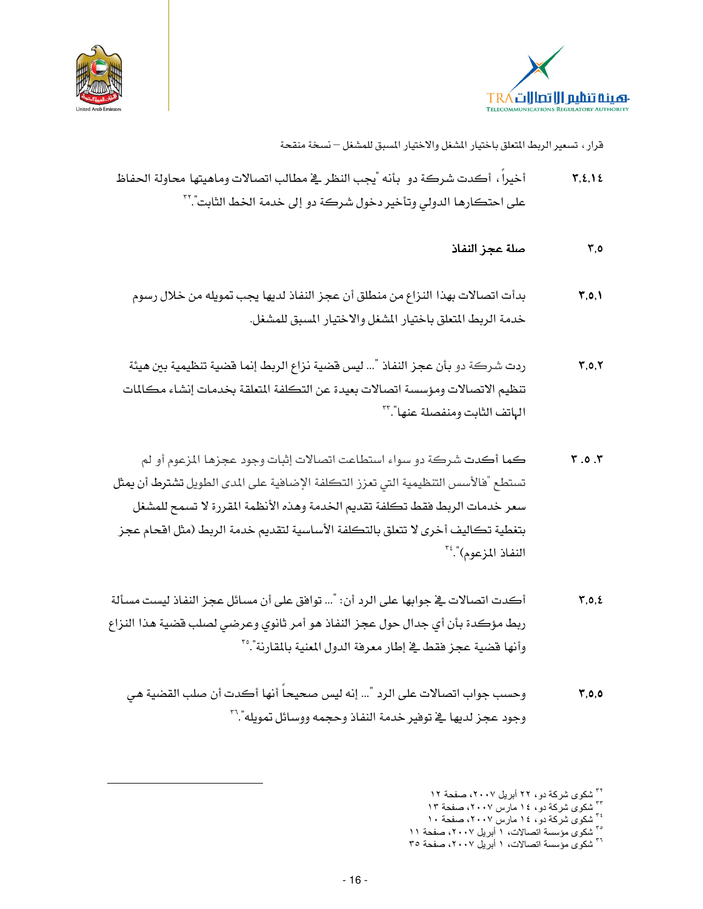



- أخبراً، أكدت شركة دو بأنه "بحب النظر في مطالب اتصالات وماهيتها محاولة الحفاظ  $Y, Z, Y$ على احتكارها الدولي وتأخير دخول شركة دو إلى خدمة الخط الثابت".''
	- صلة عحز النفاذ  $7.0$
	- بدأت اتصالات بهذا النزاع من منطلق أن عجز النفاذ لديها يجب تمويله من خلال رسوم  $\mathbf{Y}, \mathbf{0}, \mathbf{V}$ خدمة الربط المتعلق باختيار المشغل والاختيار المسبق للمشغل.
- ردت شركة دو بأن عجز النفاذ "... ليس قضية نزاع الربط إنما قضية تنظيمية بين هيئة  $Y, 0, Y$ تنظيم الاتصالات ومؤسسة اتصالات بعيدة عن التكلفة المتعلقة بخدمات إنشاء مكالمات الهاتف الثابت ومنفصلة عنها"."`
- كما أكدت شركة دو سواء استطاعت اتصالات إثبات وجود عجزها المزعوم أو لم  $7.0.7$ تستطع "هالأسس التنظيمية التي تعزز التكلفة الإضافية على المدى الطويل تشترط أن يمثل سعر خدمات الربط فقط تكلفة تقديم الخدمة وهذه الأنظمة المقررة لا تسمح للمشغل بتغطية تكاليف أخرى لا تتعلق بالتكلفة الأساسية لتقديم خدمة الربط (مثل اقحام عجز النفاذ المزعوم)".
- أكدت اتصالات في جوابها على الرد أن: "... توافق على أن مسائل عجز النفاذ ليست مسألة  $Y, 0, 2$ ربط مؤكدة بأن أي جدال حول عجز النفاذ هو أمر ثانوي وعرضي لصلب فضية هذا النزاع وأنها فضية عجز فقط في إطار معرفة الدول المنية بالمقارنة".°'
	- وحسب جواب اتصالات على الرد "... إنه ليس صحيحاً أنها أكدت أن صلب القضية هي  $7,0,0$ وحود عجز لدبها في توضر خدمة النفاذ وحجمه ووسائل تمويله".''

 $-16-$ 

- شکوی شرکة دو، ١٤ مارس ٢٠٠٧، صفحة ١٣
- سسوی سرت -بر- ------<br><sup>۲٤</sup> شکوی شرکهٔ دو، ۱٤ مارس ۲۰۰۷، صفحهٔ ۱۰

<sup>&</sup>lt;sup>۳۱</sup> شکوی شرکهٔ دو ، ۲۲ ابریل ۲۰۰۷، صفحهٔ ۱۲

سسوی کرتے ہے۔<br>°' شکوی مؤسسة اتصالات، ۱ ابریل ۲۰۰۷، صفحة ۱۱ <sup>٣٦</sup> شكوى مؤسسة اتصالات، ١ أبريل ٢٠٠٧، صفحة ٣٥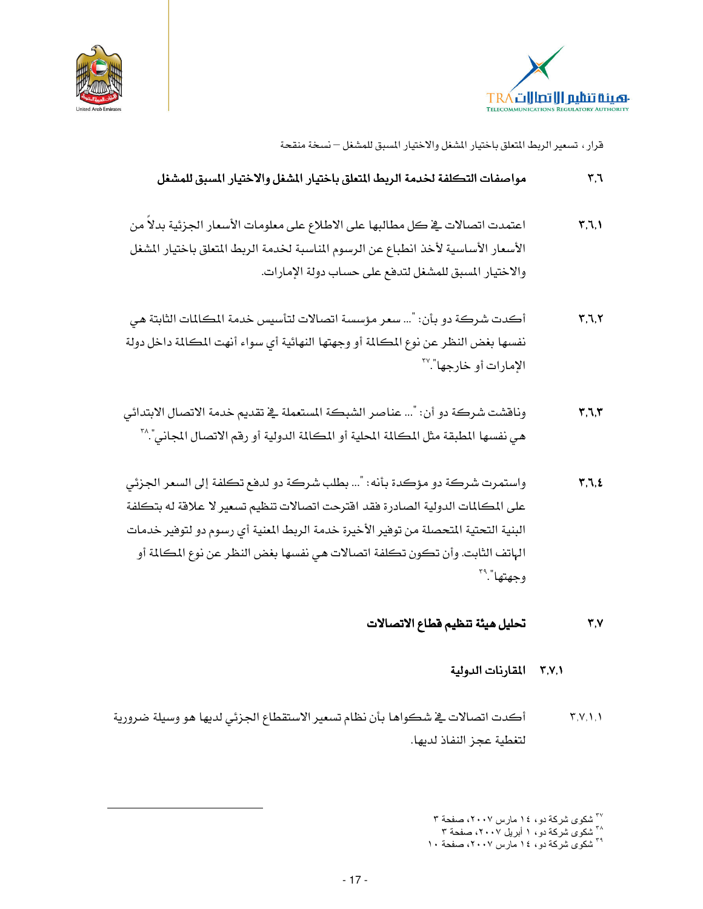



#### $\mathbf{r} \cdot \mathbf{r}$ مواصفات التكلفة لخدمة الربط المتعلق باختيار الشغل والاختيار المسبق للمشغل

- اعتمدت اتصالات في كل مطالبها على الاطلاع على معلومات الأسعار الجزئية بدلاً من  $\mathbf{Y}, \mathbf{I}, \mathbf{I}$ الأسعار الأساسية لأخذ انطباع عن الرسوم المناسبة لخدمة الربط المتعلق باختيار المشغل والاختيار المسبق للمشغل لتدفع على حساب دولة الإمارات.
- أكدت شركة دو بأن: "... سعر مؤسسة اتصالات لتأسيس خدمة المكالمات الثابتة هي  $Y,7,7$ نفسها بغض النظر عن نوع المكالمة أو وجهتها النهائية أي سواء أنهت المكالمة داخل دولة الامارات أو خارجها".'<sup>۳۷</sup>
- ونافشت شركة دو أن: "... عناصر الشبكة المستعملة في تقديم خدمة الاتصال الابتدائي  $\mathbf{r}.\mathbf{v}.\mathbf{r}$ هي نفسها المطبقة مثل المكالمة المحلية أو المكالمة الدولية أو رقم الاتصال المجاني".^"
- واستمرت شركة دو مؤكدة بأنه: "... بطلب شركة دو لدفع تكلفة إلى السعر الجزئي  $7.7.2$ على المكالمات الدولية الصادرة فقد افترحت اتصالات تنظيم تسعير لا علاقة له بتكلفة البنية التحتية المتحصلة من توهير الأخيرة خدمة الربط المنية أي رسوم دو لتوهير خدمات الهاتف الثابت. وأن تكون تكلفة اتصالات هي نفسها بغض النظر عن نوع المكالمة أو وجهتها".

تحليل هيئة تنظيم قطاع الاتصالات  $Y.Y$ 

### ٣,٧,١ المقارنات الدولية

أكدت اتصالات في شكواها بأن نظام تسعير الاستقطاع الجزئي لديها هو وسيلة ضرورية  $Y,Y, Y, Y$ لتغطية عجز النفاذ لديها.

<sup>&</sup>lt;sup>۲۷</sup> شکوی شرکهٔ دو، ۱۶ مارس ۲۰۰۷، صفحهٔ ۳<br>۱<sub>۰۰</sub> شکوی شرکهٔ دو، ۱ ابریل ۲۰۰۷، صفحهٔ ۳

<sup>&</sup>lt;sup>۳۹</sup> شکوی شرکة دو، ۱٤ مارس ۲۰۰۷، صفحة ۱۰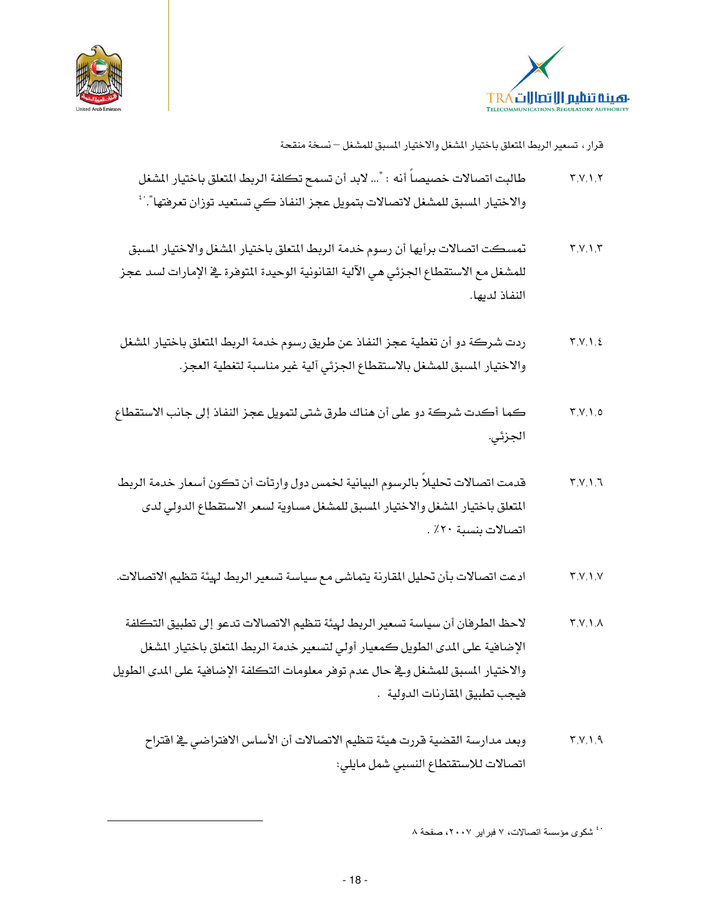



- تمسكت اتصالات برأيها أن رسوم خدمة الربط المتعلق باختيار المشغل والاختيار المسبق  $Y.V.1.7$ للمشغل مع الاستقطاع الجزئي هي الآلية القانونية الوحيدة المتوفرة في الإمارات لسد عجز النفاذ لديها.
- ردت شركة دو أن تغطية عجز النفاذ عن طريق رسوم خدمة الربط المتعلق باختيار المشغل  $Y, V, V, E$ والاختيار المسبق للمشغل بالاستقطاع الجزئي آلية غير مناسبة لتغطية العجز.
- كما أكدت شركة دو على أن هناك طرق شتى لتمويل عجز النفاذ إلى جانب الاستقطاع  $Y, V, V, o$ الجزئي.
- قدمت اتصالات تحليلا بالرسوم البيانية لخمس دول وارتأت أن تكون أسعار خدمة الربط  $Y.V.1.7$ المتعلق باختيار المشغل والاختيار المسبق للمشغل مساوية لسعر الاستقطاع الدولي لدى اتصالات بنسبة ٢٠٪ .
- ادعت اتصالات بأن تحليل المقارنة يتماشى مع سياسة تسعير الربط لهيئة تنظيم الاتصالات.  $Y.V.1.V.$
- لاحظ الطرفان أن سياسة تسعير الربط لهيئة تنظيم الاتصالات تدعو إلى تطبيق التكلفة  $Y,Y,Y,A$ الإضافية على المدى الطويل كمعيار أولى لتسعير خدمة الربط المتعلق باختيار المشغل والاختيار المسبق للمشغل ويخ حال عدم توفر معلومات التكلفة الإضافية على المدى الطويل فيجب تطبيق المقارنات الدولية ل.
	- وبعد مدارسة القضية قررت هيئة تنظيم الاتصالات أن الأساس الافتراضي في اقتراح  $Y,Y,Y,9$ اتصالات للاستقتطاع النسبي شمل مايلي:

<sup>. ٤</sup> شكوى مؤسسة اتصالات، ٧ فبراير ٢٠٠٧، صفحة ٨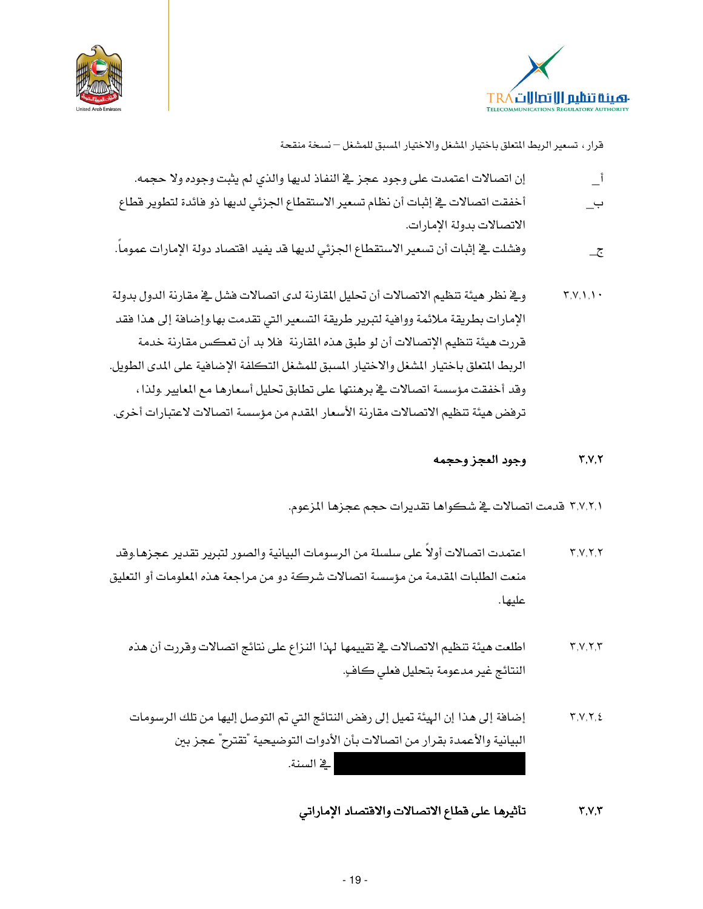



- إن اتصالات اعتمدت على وجود عجز في النفاذ لديها والذي لم يثبت وجوده ولا حجمه.  $\overline{\mathbf{I}}$ أخفقت اتصالات في إثبات أن نظام تسعير الاستقطاع الجزئي لديها ذو فائدة لتطوير قطاع ب\_ الاتصالات بدولة الامارات.
- وفشلت في إثبات أن تسعير الاستقطاع الجزئي لديها قد يفيد اقتصاد دولة الإمارات عموماً.  $-\overline{c}$
- وية نظر هيئة تنظيم الاتصالات أن تحليل المقارنة لدى اتصالات فشل في مقارنة الدول بدولة  $\Upsilon, V, \Upsilon, \Upsilon$ الإمارات بطريقة ملائمة ووافية لتبرير طريقة التسعير التي تقدمت بها وإضافة إلى هذا فقد قررت هيئة تنظيم الإتصالات أن لو طبق هذه المقارنة ۖ فلا بد أن تعكس مقارنة خدمة الربط المتعلق باختيار المشغل والاختيار المسبق للمشغل التكلفة الإضافية على المدى الطويل. وقد أخفقت مؤسسة اتصالات في برهنتها على تطابق تحليل أسعارها مع المايير .ولذا ، ترفض هيئة تنظيم الاتصالات مقارنة الأسعار المقدم من مؤسسة اتصالات لاعتبارات أخرى.

وجود العجز وحجمه  $Y, Y, Y$ 

٣,٧,٢,١ قدمت اتصالات في شكواها تقديرات حجم عجزها المزعوم.

- اعتمدت اتصالات أولاً على سلسلة من الرسومات البيانية والصور لتبرير تقدير عجزها وقد  $Y, Y, Y, Y$ منعت الطلبات المقدمة من مؤسسة اتصالات شركة دو من مراجعة هذه المعلومات أو التعليق عليها .
	- اطلعت هيئة تنظيم الاتصالات في تقييمها لهذا النزاع على نتائج اتصالات وقررت أن هذه  $Y, V, Y, Y$ النتائج غير مدعومة بتحليل فعلى كافٍ.
	- إضافة إلى هذا إن الهيئة تميل إلى رفض النتائج التي تم التوصل إليها من تلك الرسومات  $Y, V, Y, E$ البيانية والأعمدة بقرار من اتصالات بأن الأدوات التوضيحية "تقترح" عجز ببن في السنة.
		- تأثيرها على قطاع الاتصالات والاقتصاد الإماراتي  $Y, Y, Y$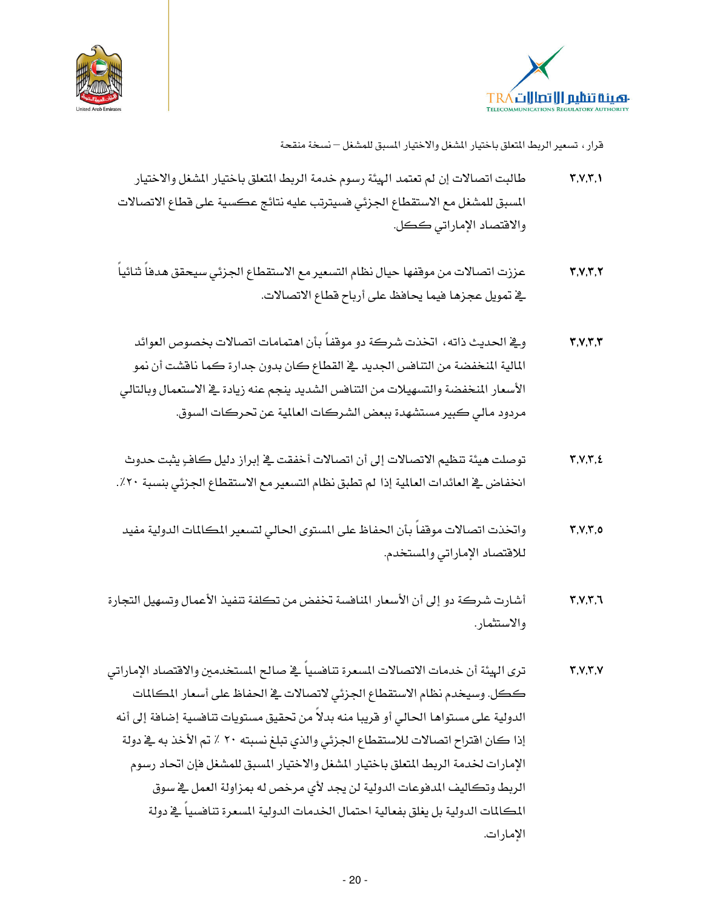



- طالبت اتصالات إن لم تعتمد الهيئة رسوم خدمة الربط المتعلق باختيار المشغل والاختيار  $Y, Y, Y, Y$ المسبق للمشغل مع الاستقطاع الجزئي فسيترتب عليه نتائج عكسية على قطاع الاتصالات والاقتصاد الإماراتي ككل.
- عززت اتصالات من موقفها حيال نظام التسعير مع الاستقطاع الجزئى سيحقق هدفاً ثنائياً  $\mathbf{r}, \mathbf{v}, \mathbf{r}, \mathbf{v}$ <u>ّة</u> تمويل عجزها فيما يحافظ على أرباح قطاع الاتصالات.
- ويخ الحديث ذاته، اتخذت شركة دو موقفاً بأن اهتمامات اتصالات بخصوص العوائد  $Y, Y, Y, Y$ المالية المنخفضة من التنافس الجديد \_في القطاع كان بدون جدارة كما ناقشت أن نمو الأسعار المنخفضة والتسهيلات من التنافس الشديد ينجم عنه زيادة في الاستعمال وبالتالي مردود مالي كبير مستشهدة ببعض الشركات العالمية عن تحركات السوق.
- توصلت هيئة تنظيم الاتصالات إلى أن اتصالات أخفقت في إبراز دليل كافٍ يثبت حدوث  $Y, V, Y, E$ انخفاض في العائدات العالمية إذا لم تطبق نظام التسعير مع الاستقطاع الجزئي بنسبة ٢٠٪.
- واتخذت اتصالات موقفاً بأن الحفاظ على المستوى الحالى لتسعير المكالمات الدولية مفيد  $Y, V, Y, 0$ للاقتصاد الإماراتي والمستخدم.
- أشارت شركة دو إلى أن الأسعار المنافسة تخفض من تكلفة تنفيذ الأعمال وتسهيل التجارة  $\mathbf{r}$ ,  $\mathbf{v}$ ,  $\mathbf{r}$ ,  $\mathbf{v}$ والاستثمار .
- ترى الهيئة أن خدمات الاتصالات المسعرة تناهسياً في صالح المستخدمين والافتصاد الإماراتي  $Y, Y, Y, V$ ككل. وسيخدم نظام الاستقطاع الجزئي لاتصالات في الحفاظ على أسعار المكالمات الدولية على مستواها الحالي أو قريبا منه بدلاً من تحقيق مستويات تناهسية إضافة إلى أنه إذا كان افتراح اتصالات للاستقطاع الجزئي والذي تبلغ نسبته ٢٠ ٪ تم الأخذ به في دولة الإمارات لخدمة الربط المتعلق باختيار المشغل والاختيار المسبق للمشغل فإن اتحاد رسوم الربط وتكاليف المدفوعات الدولية لن يجد لأي مرخص له بمزاولة العمل في سوق المكالمات الدولية بل يغلق بفعالية احتمال الخدمات الدولية المسعرة تنافسياً في دولة الامارات.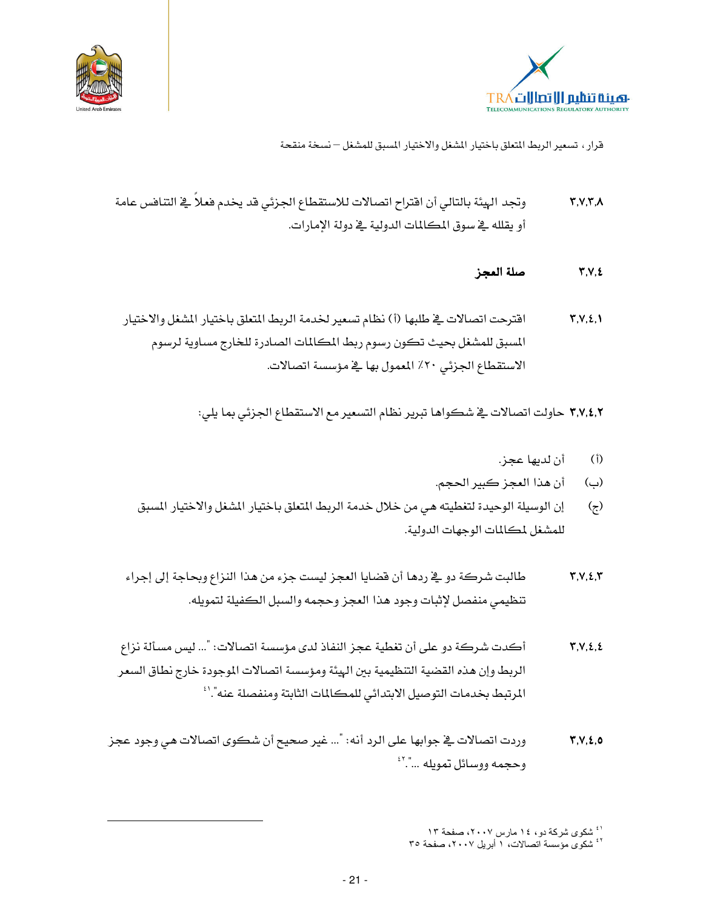



وتجد الهيئة بالتالي أن افتراح اتصالات للاستقطاع الجزئي قد يخدم فعلاً في التنافس عامة  $\Upsilon, \Upsilon, \Upsilon, \Lambda$ أو يقلله في سوق المكالمات الدولية في دولة الإمارات.

#### صلة العجز  $Y,Y,\xi$

اقترحت اتصالات في طلبها (أ) نظام تسعير لخدمة الربط المتعلق باختيار المشغل والاختيار  $Y, Y, \Sigma, Y$ المسبق للمشغل بحيث تكون رسوم ربط المكالمات الصادرة للخارج مساوية لرسوم الاستقطاع الجزئي ٢٠٪ المعمول بها في مؤسسة اتصالات.

٣,٧,٤,٢ حاولت اتصالات في شكواها تبرير نظام التسعير مع الاستقطاع الجزئي بما يلي:

- أن لديها عجز.  $(\mathfrak{f})$
- أن هذا العجز كبير الحجم. (ب)
- إن الوسيلة الوحيدة لتغطيته هي من خلال خدمة الربط المتعلق باختيار المشغل والاختيار المسبق  $\left(\mathbf{z}\right)$ للمشغل لمكالمات الوجهات الدولية.
- طالبت شركة دو في ردها أن فضايا العجز ليست جزء من هذا النزاع وبحاجة إلى إجراء  $Y.V.2.Y$ تنظيمي منفصل لإثبات وجود هذا العجز وحجمه والسبل الكفيلة لتمويله.
- أكدت شركة دو على أن تغطية عجز النفاذ لدى مؤسسة اتصالات: "… ليس مسألة نزاع  $Y.V.2.2$ الربط وإن هذه القضية التنظيمية بين الهيئة ومؤسسة اتصالات الموجودة خارج نطاق السعر المرتبط بخدمات التوصيل الابتدائي للمكالمات الثابتة ومنفصلة عنه".'
- وردت اتصالات في جوابها على الرد أنه: "... غير صحيح أن شكوى اتصالات هي وجود عجز  $Y.V.2.0$ وحجمه ووسائل تمويله …".``

<sup>&</sup>lt;sup>ا ٤</sup> شکوی شرکهٔ دو، ١٤ مارس ٢٠٠٧، صفحهٔ ١٣<br><sup>٤٢</sup> شکوی مؤسسهٔ اتصالات، ١ أبریل ٢٠٠٧، صفحهٔ ٣٥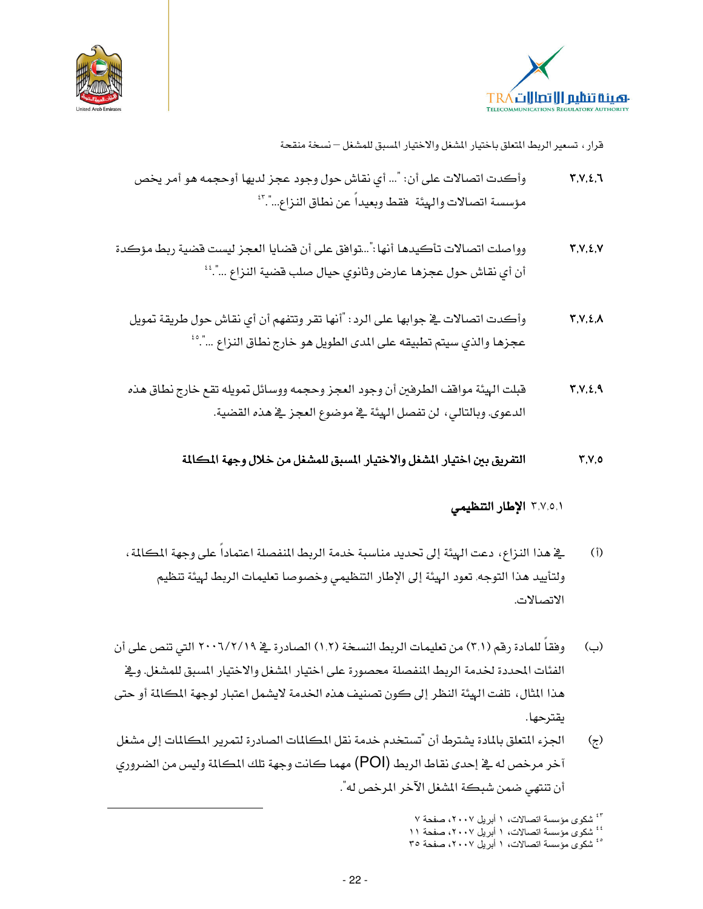



- وأكدت اتصالات على أن: "... أي نقاش حول وجود عجز لديها أوحجمه هو أمر يخص  $Y,Y,\xi,1$ مؤسسة اتصالات والهيئة فقط وبعيداً عن نطاق النزاع...".."
- وواصلت اتصالات تأكيدها أنها:"...توافق على أن فضايا العجز ليست فضية ربط مؤكدة  $Y.V.2.V$ أن أي نقاش حول عجزها عارض وثانوي حيال صلب قضية النزاع …".<sup>؛</sup>
	- وأكدت اتصالات في جوابها على الرد: "أنها تقر وتتفهم أن أي نقاش حول طريقة تمويل  $Y, V, \Sigma, \Lambda$ عجزها والذي سيتم تطبيقه على المدى الطويل هو خارج نطاق النزاع …".°'
	- قبلت الهيئة مواقف الطرفين أن وجود العجز وحجمه ووسائل تمويله تقع خارج نطاق هذه  $Y,Y,\xi,A$ الدعوى. وبالتالي، لن تفصل الهيئة ـ2 موضوع العجز ـ2 هذه القضية.

التفريق بين اختيار الشغل والاختيار المسبق للمشغل من خلال وجهة المكالمة  $Y,Y,0$ 

### ٣,٧,٥,١ الإطار التنظيمي

- ية هذا النزاع، دعت الهيئة إلى تحديد مناسبة خدمة الربط المنفصلة اعتمادا على وجهة المكالمة،  $(i)$ ولتأييد هذا التوجه, تعود الهيئة إلى الإطار التنظيمي وخصوصا تعليمات الربط لهيئة تنظيم الاتصالات.
- وفقا للمادة رقم (٣,١) من تعليمات الربط النسخة (١,٢) الصادرة في ٢٠٠٦/٢/١٩ التي تنص على أن (؎ الفئات المحددة لخدمة الربط المنفصلة محصورة على اختيار المشغل والاختيار المسبق للمشغل. ويخ هذا المثال، تلفت الهيئة النظر إلى كون تصنيف هذه الخدمة لايشمل اعتبار لوجهة المكالمة أو حتى ىقترحها.
- الجزء المتعلق بالمادة يشترط أن "تستخدم خدمة نقل المكالمات الصادرة لتمرير المكالمات إلى مشغل  $\left( z\right)$ آخر مرخص له في إحدى نقاط الربط (POI) مهما كانت وجهة تلك المكالمة وليس من الضروري أن تنتهي ضمن شبكة المشغل الآخر المرخص له".

<sup>15</sup> شکوی مؤسسة اتصالات، ۱ أبریل ۲۰۰۷، صفحة ۷<br><sup>:</sup> : شکوی مؤسسة اتصالات، ۱ أبریل ۲۰۰۷، صفحة ۱۱

<sup>&</sup>lt;sup>6</sup> شکوی مؤسسة اتصالات، ١ أبريل ٢٠٠٧، صفحة ٣٥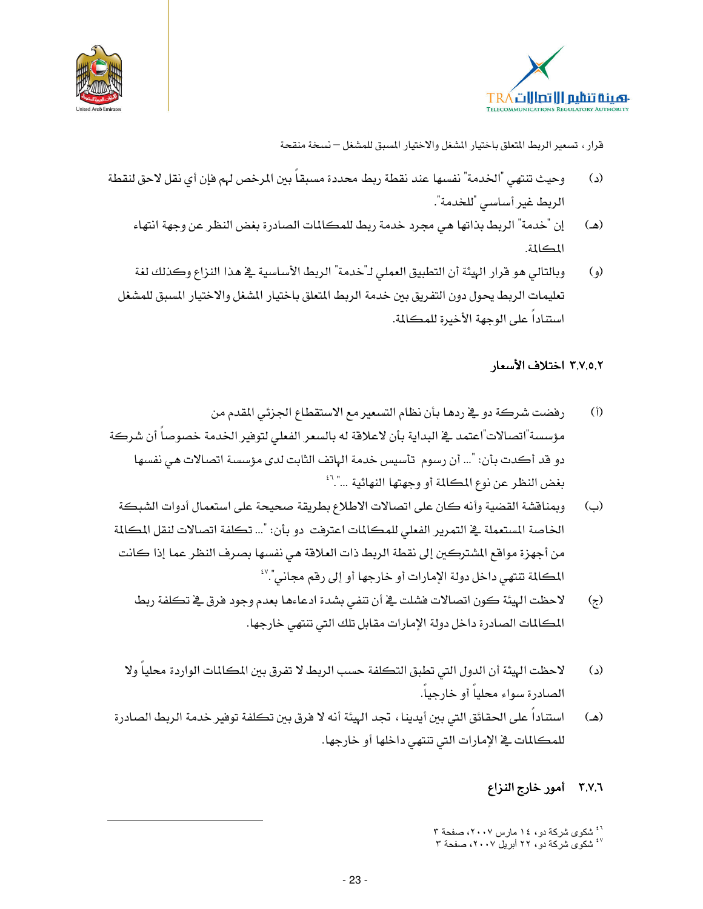



- وحيث تنتهى "الخدمة" نفسها عند نقطة ربط محددة مسبقاً بين المرخص لهم فإن أي نقل لاحق لنقطة  $\mathcal{L}$ الربط غير أساسى <sup>"</sup>للخدمة".
	- إن "خدمة" الربط بذاتها هي مجرد خدمة ربط للمكالمات الصادرة بغض النظر عن وجهة انتهاء (هـ) المكالمة.
	- وبالتالي هو قرار الهيئة أن التطبيق العملي لـ"خدمة" الربط الأساسية في هذا النزاع وكذلك لغة  $\left( \right)$ تعليمات الربط يحول دون التفريق بين خدمة الربط المتعلق باختيار المشغل والاختيار المسبق للمشغل استتاداً على الوجهة الأخيرة للمكالمة.

### ٣,٧,٥,٢ اختلاف الأسعار

- رفضت شركة دو في ردها بأن نظام التسعير مع الاستقطاع الجزئي المقدم من  $(i)$ مؤسسة"اتصالات"اعتمد في البداية بأن لاعلاقة له بالسعر الفعلى لتوفير الخدمة خصوصاً أن شركة دو قد أكدت بأن: "... أن رسوم تأسيس خدمة الهاتف الثابت لدى مؤسسة اتصالات هي نفسها بغض النظر عن نوع المكالمة أو وجهتها النهائية …".<sup>؟؛</sup>
- وبمنافشة القضية وأنه كان على اتصالات الاطلاع بطريقة صحيحة على استعمال أدوات الشبكة (؎) الخاصة المستعملة في التمرير الفعلى للمكالمات اعترفت دو بأن: "... تكلفة اتصالات لنقل المكالمة من أجهزة مواقع المشتركين إلى نقطة الربط ذات العلاقة هي نفسها بصرف النظر عما إذا كانت المكللة تنتهي داخل دولة الإمارات أو خارجها أو إلى رقم مجاني".''
	- لاحظت الهيئة كون اتصالات فشلت في أن تنفي بشدة ادعاءها بعدم وجود فرق في تكلفة ربط  $\left(\mathbf{z}\right)$ المكالمات الصادرة داخل دولة الإمارات مقابل تلك التي تنتهي خارجها.
	- لاحظت الهيئة أن الدول التي تطبق التكلفة حسب الربط لا تفرق بين المكالمات الواردة محلياً ولا  $\mathcal{L}$ الصادرة سواء محلياً أو خارجياً.
- استناداً على الحقائق التي ببن أيدينا ، تجد الهيئة أنه لا فرق ببن تكلفة توفير خدمة الربط الصادرة  $(\triangle)$ للمكالمات في الإمارات التي تنتهي داخلها أو خارجها.

## ٣,٧,٦ أمور خارج النزاع

<sup>&</sup>lt;sup>۲</sup>ٔ شکوی شرکهٔ دو، ۱٤ مارس ۲**۰۰**۷، صفحهٔ ۳ <sup>٤٧</sup> شکوی شرکة دو، ٢٢ أبریل ٢٠٠٧، صفحة ٣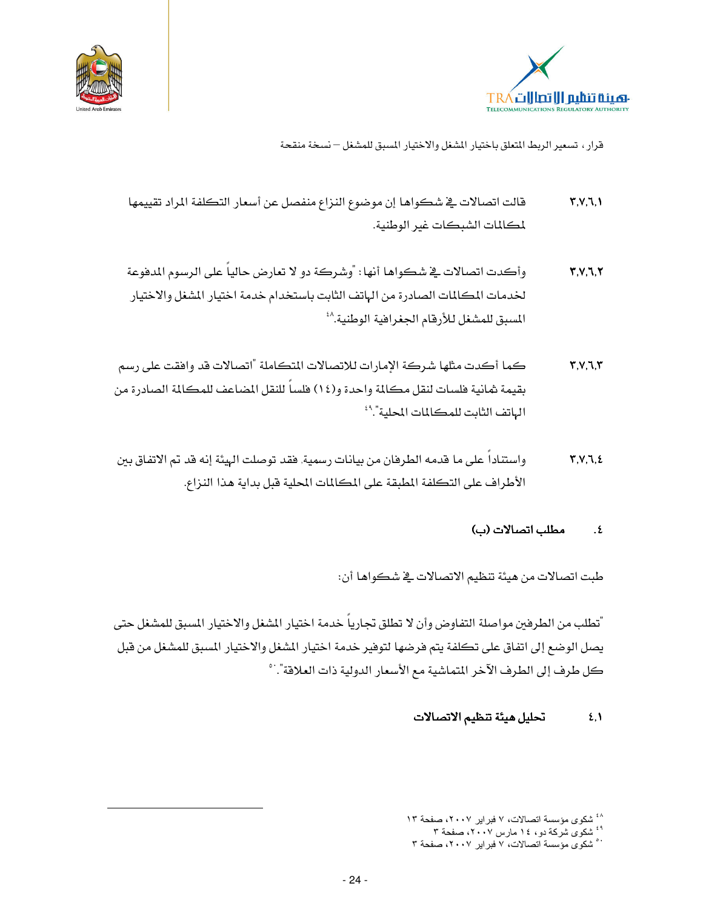



- قالت اتصالات في شكواها إن موضوع النزاع منفصل عن أسعار التكلفة المراد تقييمها  $Y,Y,Y, Y$ لمكالمات الشبكات غبر الوطنية.
- وأكدت اتصالات في شكواها أنها: "وشركة دو لا تعارض حالياً على الرسوم المدفوعة  $Y, Y, Z, Y$ لخدمات المكالمات الصادرة من الهاتف الثابت باستخدام خدمة اختيار المشغل والاختيار المسبق للمشغل للأرقام الجغرافية الوطنية.^أ
- كما أكدت مثلها شركة الإمارات للاتصالات المتكاملة "اتصالات قد وافقت على رسم  $Y, V, I, Y$ بقيمة شانية فلسات لنقل مكالمة واحدة و(١٤) فلساً للنقل المضاعف للمكالمة الصادرة من الهاتف الثابت للمكالمات المحلية".<sup>٩</sup>
- واستناداً على ما قدمه الطرفان من بيانات رسمية, فقد توصلت الهيئة إنه قد تم الاتفاق بين  $Y, V, I, E$ الأطراف على التكلفة المطبقة على المكالمات المحلية قبل بداية هذا النزاع.

#### مطلب اتصالات (ب)  $\cdot$  .  $\epsilon$

طبت اتصالات من هيئة تنظيم الاتصالات في شكواها أن:

"تطلب من الطرفين مواصلة التفاوض وأن لا تطلق تجارياً خدمة اختيار المشغل والاختيار المسبق للمشغل حتى يصل الوضع إلى اتفاق على تكلفة يتم فرضها لتوفير خدمة اختيار المشغل والاختيار المسبق للمشغل من قبل كل طرف إلى الطرف الآخر المتماشية مع الأسعار الدولية ذات العلاقة".`°

#### تحليل هيئة تنظيم الاتصالات  $\S$ .

<sup>&</sup>lt;sup>^</sup> شکوی مؤسسة اتصالات، ۷ فبرایر ۲۰۰۷، صفحة ۱۳

<sup>&</sup>lt;sup>43</sup> شکوی شرکة دو، ١٤ مارس ٢**٠٠**٧، صفحة ٣

<sup>°°</sup> شکوی مؤسسة اتصالات، ۷ فبرایر ۲۰۰۷، صفحة ۳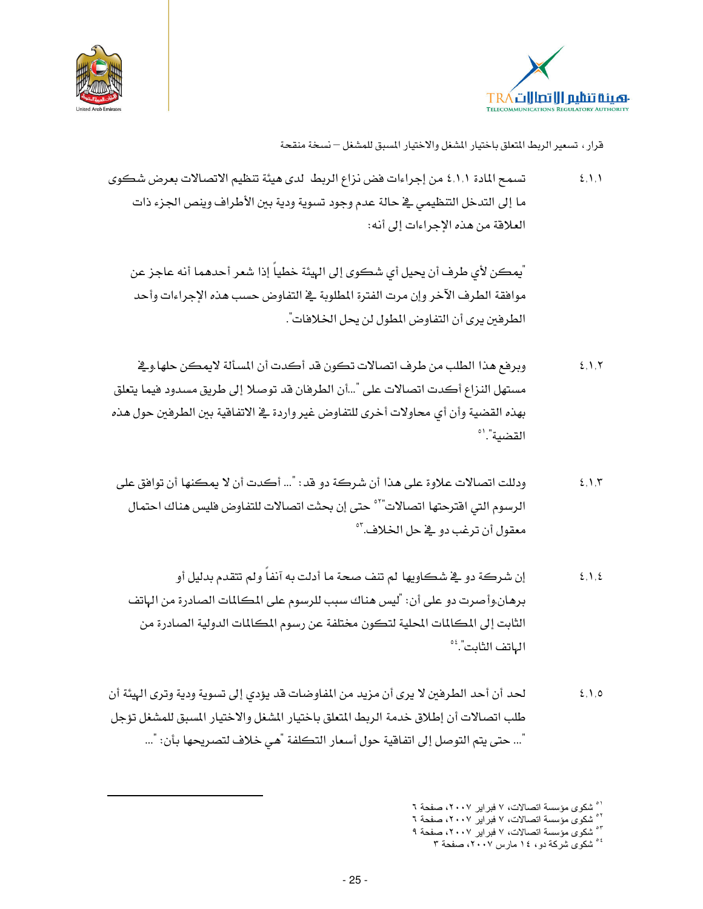



تسمح المادة ٤,١,١ من إجراءات فض نزاع الربط لدى هيئة تنظيم الاتصالات بعرض شكوى  $2,1,1$ ما إلى التدخل التنظيمي في حالة عدم وجود تسوية ودية بين الأطراف وينص الجزء ذات العلاقة من هذه الإجراءات إلى أنه:

ّ يمكن لأي طرف أن يحيل أي شكوي إلى الهيئة خطياً إذا شعر أحدهما أنه عاجز عن موافقة الطرف الآخر وإن مرت الفترة المطلوبة في التفاوض حسب هذه الإجراءات وأحد الطرفين يرى أن التفاوض المطول لن يحل الخلافات".

- وبرفع هذا الطلب من طرف اتصالات تكون قد أكدت أن المسألة لايمكن حلها.وِيخ  $2,1,7$ مستهل النزاع أكدت اتصالات على "…أن الطرفان قد توصلا إلى طريق مسدود فيما يتعلق بهذه القضية وأن أي محاولات أخرى للتفاوض غير واردة يخ الاتفاقية بين الطرفين حول هذه القضية".'°
- ودللت اتصالات علاوة على هذا أن شركة دو قد : "... أكدت أن لا يمكنها أن توافق على  $2.1.5$ الرسوم التي اقترحتها اتصالات"° حتى إن بحثت اتصالات للتفاوض فليس هناك احتمال معقول أن ترغب دو \_2ٌ حل الخلاف.<sup>٥٣</sup>
	- إن شركة دو \_2 شكاويها لم تنف صحة ما أدلت به آنفاً ولم تتقدم بدليل أو  $2.1.5$ برهان.وأصرت دو على أن: "ليس هناك سبب للرسوم على المكالمات الصادرة من الهاتف الثابت إلى المكالمات المحلية لتكون مختلفة عن رسوم المكالمات الدولية الصادرة من الهاتف الثابت". ُ ْ ْ
- لحد أن أحد الطرفين لا يرى أن مزيد من المفاوضات قد يؤدي إلى تسوية ودية وترى الهيئة أن  $2,1,0$ طلب اتصالات أن إطلاق خدمة الربط المتعلق باختيار المشغل والاختيار المسبق للمشغل تؤجل "... حتى يتم التوصل إلى اتفاقية حول أسعار التكلفة "هي خلاف لتصريحها بأن: "...

<sup>&</sup>lt;sup>۱</sup>° شکوی مؤسسة اتصالات، ۷ فبرایر ۲۰۰۷، صفحة ۲

<sup>&</sup>lt;sup>٥</sup>° شكوى مؤسسة اتصالات، ٧ فبراير ٢٠٠٧، صفحة ٦

سسوی <del>. . . . . . . . . . . .</del><br><sup>۶۰</sup> شکوی مؤسسة اتصالات، ۷ فبرایر ۲۰۰۷، صفحة ۹ <sup>° د</sup> شکوی شرکة دو، ۱٤ مارس ۲**۰۰**۷، صفحة ۳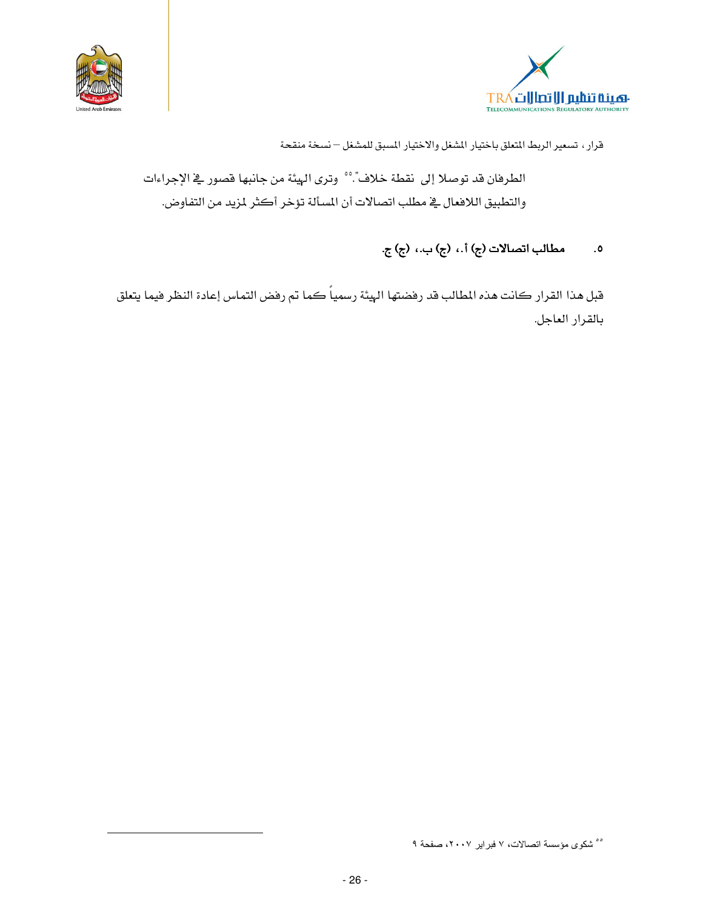



الطرفان قد توصلا إلى نقطة خلاف".°° وترى الهيئة من جانبها قصور في الإجراءات والتطبيق اللافعال في مطلب اتصالات أن المسألة تؤخر أكثر لمزيد من التفاوض.

#### مطالب اتصالات (ج) أ.، (ج) ب.، (ج) ج.  $\overline{\phantom{a}}$ .0

قبل هذا القرار كانت هذه المطالب قد رفضتها الهيئة رسمياً كما تم رفض التماس إعادة النظر فيما يتعلق بالقرار العاجل.

<sup>°°</sup> شكوى مؤسسة اتصالات، ٧ فبراير ٢٠٠٧، صفحة ٩